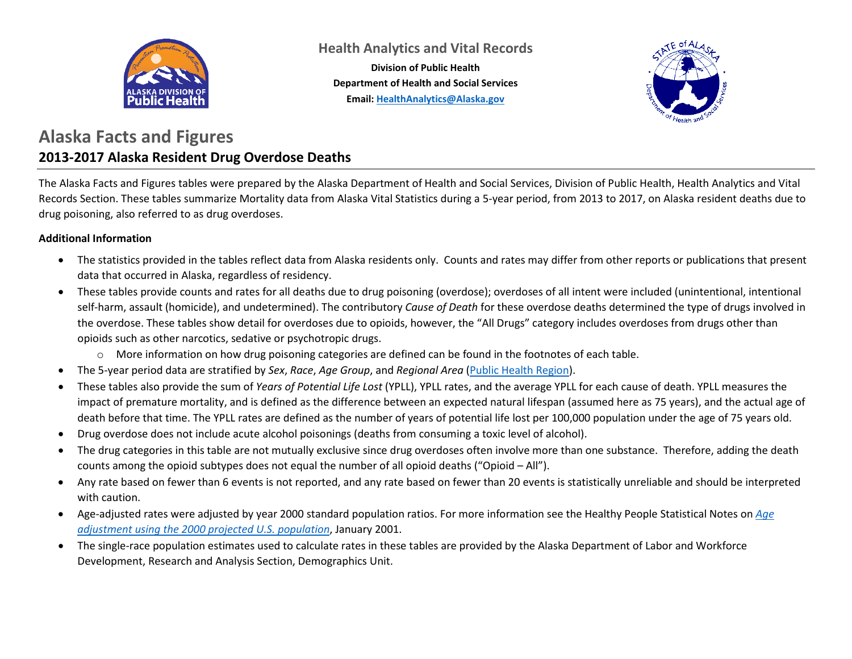

**Health Analytics and Vital Records**

**Division of Public Health Department of Health and Social Services Email: [HealthAnalytics@Alaska.gov](mailto:HealthAnalytics@Alaska.gov)**



#### **Alaska Facts and Figures 2013-2017 Alaska Resident Drug Overdose Deaths**

The Alaska Facts and Figures tables were prepared by the Alaska Department of Health and Social Services, Division of Public Health, Health Analytics and Vital Records Section. These tables summarize Mortality data from Alaska Vital Statistics during a 5-year period, from 2013 to 2017, on Alaska resident deaths due to drug poisoning, also referred to as drug overdoses.

#### **Additional Information**

- The statistics provided in the tables reflect data from Alaska residents only. Counts and rates may differ from other reports or publications that present data that occurred in Alaska, regardless of residency.
- These tables provide counts and rates for all deaths due to drug poisoning (overdose); overdoses of all intent were included (unintentional, intentional self-harm, assault (homicide), and undetermined). The contributory *Cause of Death* for these overdose deaths determined the type of drugs involved in the overdose. These tables show detail for overdoses due to opioids, however, the "All Drugs" category includes overdoses from drugs other than opioids such as other narcotics, sedative or psychotropic drugs.
	- o More information on how drug poisoning categories are defined can be found in the footnotes of each table.
- The 5-year period data are stratified by *Sex*, *Race*, *Age Group*, and *Regional Area* [\(Public Health Region\)](http://dhss.alaska.gov/dph/InfoCenter/Pages/ia/brfss/geo_phr.aspx).
- These tables also provide the sum of *Years of Potential Life Lost* (YPLL), YPLL rates, and the average YPLL for each cause of death. YPLL measures the impact of premature mortality, and is defined as the difference between an expected natural lifespan (assumed here as 75 years), and the actual age of death before that time. The YPLL rates are defined as the number of years of potential life lost per 100,000 population under the age of 75 years old.
- Drug overdose does not include acute alcohol poisonings (deaths from consuming a toxic level of alcohol).
- The drug categories in this table are not mutually exclusive since drug overdoses often involve more than one substance. Therefore, adding the death counts among the opioid subtypes does not equal the number of all opioid deaths ("Opioid – All").
- Any rate based on fewer than 6 events is not reported, and any rate based on fewer than 20 events is statistically unreliable and should be interpreted with caution.
- Age-adjusted rates were adjusted by year 2000 standard population ratios. For more information see the Healthy People Statistical Notes on *[Age](https://www.cdc.gov/nchs/data/statnt/statnt20.pdf)  [adjustment using the 2000 projected U.S. population](https://www.cdc.gov/nchs/data/statnt/statnt20.pdf)*, January 2001.
- The single-race population estimates used to calculate rates in these tables are provided by the Alaska Department of Labor and Workforce Development, Research and Analysis Section, Demographics Unit.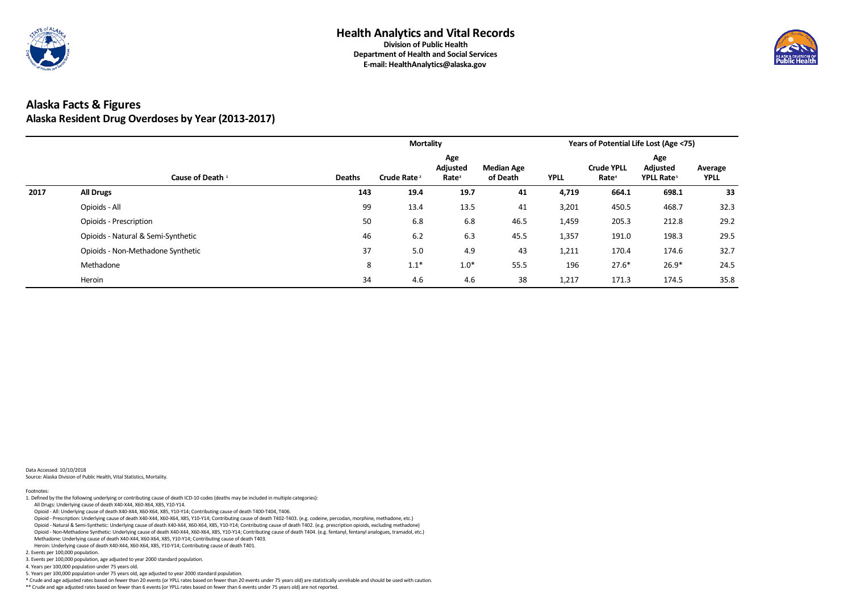

# **Alaska Facts & Figures Alaska Resident Drug Overdoses by Year (2013-2017)**

|      |                                    |               | <b>Mortality</b>        |                                      |                               |             |                                        | <b>Years of Potential Life Lost (Age &lt;75)</b> |                        |
|------|------------------------------------|---------------|-------------------------|--------------------------------------|-------------------------------|-------------|----------------------------------------|--------------------------------------------------|------------------------|
|      | Cause of Death <sup>1</sup>        | <b>Deaths</b> | Crude Rate <sup>2</sup> | Age<br>Adjusted<br>Rate <sup>3</sup> | <b>Median Age</b><br>of Death | <b>YPLL</b> | <b>Crude YPLL</b><br>Rate <sup>4</sup> | Age<br><b>Adjusted</b><br>YPLL Rate <sup>5</sup> | Average<br><b>YPLL</b> |
| 2017 | <b>All Drugs</b>                   | 143           | 19.4                    | 19.7                                 | 41                            | 4,719       | 664.1                                  | 698.1                                            | 33                     |
|      | Opioids - All                      | 99            | 13.4                    | 13.5                                 | 41                            | 3,201       | 450.5                                  | 468.7                                            | 32.3                   |
|      | <b>Opioids - Prescription</b>      | 50            | 6.8                     | 6.8                                  | 46.5                          | 1,459       | 205.3                                  | 212.8                                            | 29.2                   |
|      | Opioids - Natural & Semi-Synthetic | 46            | 6.2                     | 6.3                                  | 45.5                          | 1,357       | 191.0                                  | 198.3                                            | 29.5                   |
|      | Opioids - Non-Methadone Synthetic  | 37            | 5.0                     | 4.9                                  | 43                            | 1,211       | 170.4                                  | 174.6                                            | 32.7                   |
|      | Methadone                          | 8             | $1.1*$                  | $1.0*$                               | 55.5                          | 196         | $27.6*$                                | $26.9*$                                          | 24.5                   |
|      | Heroin                             | 34            | 4.6                     | 4.6                                  | 38                            | 1,217       | 171.3                                  | 174.5                                            | 35.8                   |

Data Accessed: 10/10/2018 Source: Alaska Division of Public Health, Vital Statistics, Mortality.

\*\* Crude and age adjusted rates based on fewer than 6 events (or YPLL rates based on fewer than 6 events under 75 years old) are not reported.



5. Years per 100,000 population under 75 years old, age adjusted to year 2000 standard population.

\* Crude and age adjusted rates based on fewer than 20 events (or YPLL rates based on fewer than 20 events under 75 years old) are statistically unreliable and should be used with caution.

3. Events per 100,000 population, age adjusted to year 2000 standard population.

4. Years per 100,000 population under 75 years old.

Heroin: Underlying cause of death X40-X44, X60-X64, X85, Y10-Y14; Contributing cause of death T401.

2. Events per 100,000 population.

 Opioid - Non-Methadone Synthetic: Underlying cause of death X40-X44, X60-X64, X85, Y10-Y14; Contributing cause of death T404. (e.g. fentanyl, fentanyl analogues, tramadol, etc.) Methadone: Underlying cause of death X40-X44, X60-X64, X85, Y10-Y14; Contributing cause of death T403.

Opioid - Prescription: Underlying cause of death X40-X44, X60-X64, X85, Y10-Y14; Contributing cause of death T402-T403. (e.g. codeine, percodan, morphine, methadone, etc.)

Opioid - Natural & Semi-Synthetic: Underlying cause of death X40-X44, X60-X64, X85, Y10-Y14; Contributing cause of death T402. (e.g. prescription opioids, excluding methadone)

All Drugs: Underlying cause of death X40-X44, X60-X64, X85, Y10-Y14.

Opioid - All: Underlying cause of death X40-X44, X60-X64, X85, Y10-Y14; Contributing cause of death T400-T404, T406.

Footnotes: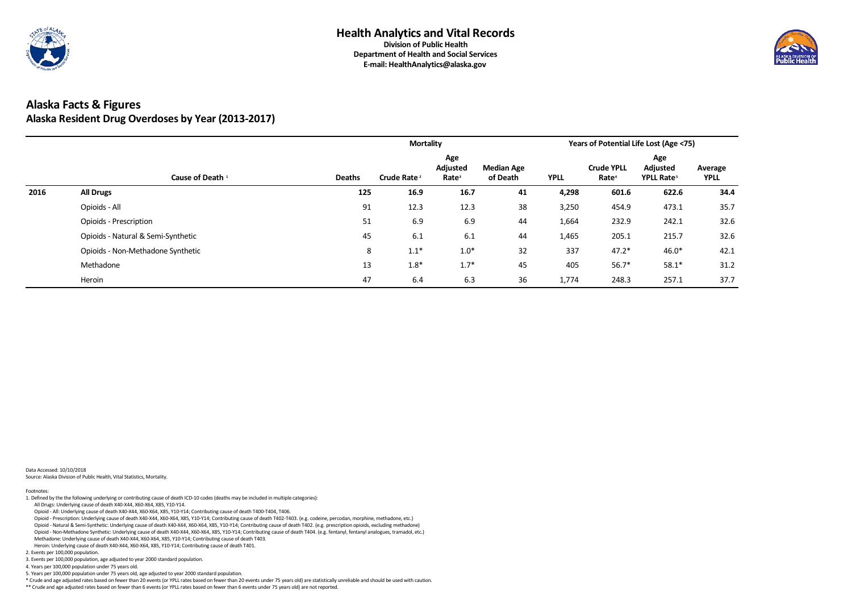

# **Alaska Facts & Figures Alaska Resident Drug Overdoses by Year (2013-2017)**

|      |                                    |               |                         |                                      | <b>Years of Potential Life Lost (Age &lt;75)</b> |             |                                        |                                                  |                        |
|------|------------------------------------|---------------|-------------------------|--------------------------------------|--------------------------------------------------|-------------|----------------------------------------|--------------------------------------------------|------------------------|
|      | Cause of Death <sup>1</sup>        | <b>Deaths</b> | Crude Rate <sup>2</sup> | Age<br>Adjusted<br>Rate <sup>3</sup> | <b>Median Age</b><br>of Death                    | <b>YPLL</b> | <b>Crude YPLL</b><br>Rate <sup>4</sup> | Age<br><b>Adjusted</b><br>YPLL Rate <sup>5</sup> | Average<br><b>YPLL</b> |
| 2016 | <b>All Drugs</b>                   | 125           | 16.9                    | 16.7                                 | 41                                               | 4,298       | 601.6                                  | 622.6                                            | 34.4                   |
|      | Opioids - All                      | 91            | 12.3                    | 12.3                                 | 38                                               | 3,250       | 454.9                                  | 473.1                                            | 35.7                   |
|      | <b>Opioids - Prescription</b>      | 51            | 6.9                     | 6.9                                  | 44                                               | 1,664       | 232.9                                  | 242.1                                            | 32.6                   |
|      | Opioids - Natural & Semi-Synthetic | 45            | 6.1                     | 6.1                                  | 44                                               | 1,465       | 205.1                                  | 215.7                                            | 32.6                   |
|      | Opioids - Non-Methadone Synthetic  | 8             | $1.1*$                  | $1.0*$                               | 32                                               | 337         | $47.2*$                                | $46.0*$                                          | 42.1                   |
|      | Methadone                          | 13            | $1.8*$                  | $1.7*$                               | 45                                               | 405         | $56.7*$                                | $58.1*$                                          | 31.2                   |
|      | Heroin                             | 47            | 6.4                     | 6.3                                  | 36                                               | 1,774       | 248.3                                  | 257.1                                            | 37.7                   |

Data Accessed: 10/10/2018 Source: Alaska Division of Public Health, Vital Statistics, Mortality.

\*\* Crude and age adjusted rates based on fewer than 6 events (or YPLL rates based on fewer than 6 events under 75 years old) are not reported.



5. Years per 100,000 population under 75 years old, age adjusted to year 2000 standard population.

\* Crude and age adjusted rates based on fewer than 20 events (or YPLL rates based on fewer than 20 events under 75 years old) are statistically unreliable and should be used with caution.

3. Events per 100,000 population, age adjusted to year 2000 standard population.

4. Years per 100,000 population under 75 years old.

Heroin: Underlying cause of death X40-X44, X60-X64, X85, Y10-Y14; Contributing cause of death T401.

2. Events per 100,000 population.

 Opioid - Non-Methadone Synthetic: Underlying cause of death X40-X44, X60-X64, X85, Y10-Y14; Contributing cause of death T404. (e.g. fentanyl, fentanyl analogues, tramadol, etc.) Methadone: Underlying cause of death X40-X44, X60-X64, X85, Y10-Y14; Contributing cause of death T403.

Opioid - Prescription: Underlying cause of death X40-X44, X60-X64, X85, Y10-Y14; Contributing cause of death T402-T403. (e.g. codeine, percodan, morphine, methadone, etc.)

Opioid - Natural & Semi-Synthetic: Underlying cause of death X40-X44, X60-X64, X85, Y10-Y14; Contributing cause of death T402. (e.g. prescription opioids, excluding methadone)

All Drugs: Underlying cause of death X40-X44, X60-X64, X85, Y10-Y14.

Opioid - All: Underlying cause of death X40-X44, X60-X64, X85, Y10-Y14; Contributing cause of death T400-T404, T406.

Footnotes: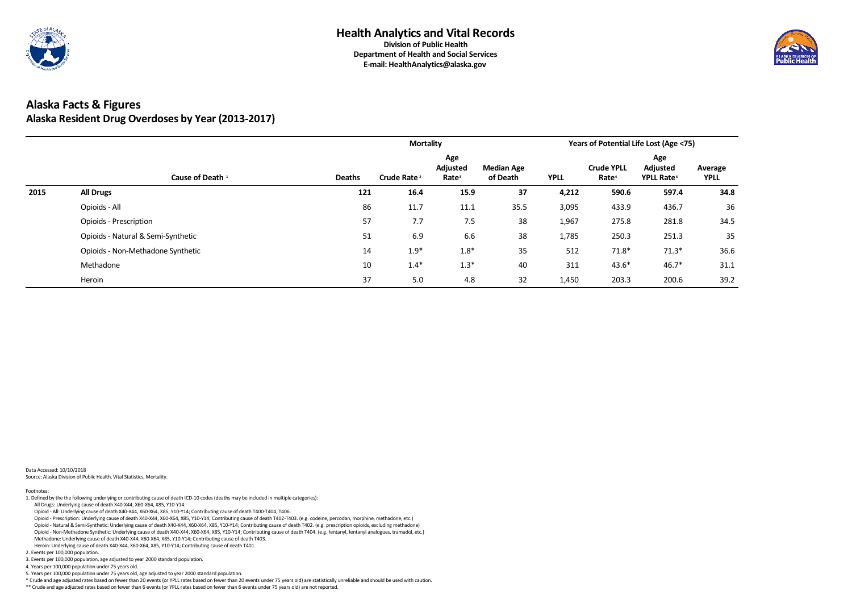

# **Alaska Facts & Figures Alaska Resident Drug Overdoses by Year (2013-2017)**

|      |                                    |               | <b>Mortality</b>        |                                      |                               |             |                                        | <b>Years of Potential Life Lost (Age &lt;75)</b> |                        |
|------|------------------------------------|---------------|-------------------------|--------------------------------------|-------------------------------|-------------|----------------------------------------|--------------------------------------------------|------------------------|
|      | Cause of Death <sup>1</sup>        | <b>Deaths</b> | Crude Rate <sup>2</sup> | Age<br>Adjusted<br>Rate <sup>3</sup> | <b>Median Age</b><br>of Death | <b>YPLL</b> | <b>Crude YPLL</b><br>Rate <sup>4</sup> | Age<br>Adjusted<br>YPLL Rate <sup>5</sup>        | Average<br><b>YPLL</b> |
| 2015 | <b>All Drugs</b>                   | 121           | 16.4                    | 15.9                                 | 37                            | 4,212       | 590.6                                  | 597.4                                            | 34.8                   |
|      | Opioids - All                      | 86            | 11.7                    | 11.1                                 | 35.5                          | 3,095       | 433.9                                  | 436.7                                            | 36                     |
|      | <b>Opioids - Prescription</b>      | 57            | 7.7                     | 7.5                                  | 38                            | 1,967       | 275.8                                  | 281.8                                            | 34.5                   |
|      | Opioids - Natural & Semi-Synthetic | 51            | 6.9                     | 6.6                                  | 38                            | 1,785       | 250.3                                  | 251.3                                            | 35                     |
|      | Opioids - Non-Methadone Synthetic  | 14            | $1.9*$                  | $1.8*$                               | 35                            | 512         | $71.8*$                                | $71.3*$                                          | 36.6                   |
|      | Methadone                          | 10            | $1.4*$                  | $1.3*$                               | 40                            | 311         | $43.6*$                                | $46.7*$                                          | 31.1                   |
|      | Heroin                             | 37            | 5.0                     | 4.8                                  | 32                            | 1,450       | 203.3                                  | 200.6                                            | 39.2                   |

Data Accessed: 10/10/2018 Source: Alaska Division of Public Health, Vital Statistics, Mortality.

\*\* Crude and age adjusted rates based on fewer than 6 events (or YPLL rates based on fewer than 6 events under 75 years old) are not reported.



5. Years per 100,000 population under 75 years old, age adjusted to year 2000 standard population.

\* Crude and age adjusted rates based on fewer than 20 events (or YPLL rates based on fewer than 20 events under 75 years old) are statistically unreliable and should be used with caution.

3. Events per 100,000 population, age adjusted to year 2000 standard population.

4. Years per 100,000 population under 75 years old.

Heroin: Underlying cause of death X40-X44, X60-X64, X85, Y10-Y14; Contributing cause of death T401.

2. Events per 100,000 population.

 Opioid - Non-Methadone Synthetic: Underlying cause of death X40-X44, X60-X64, X85, Y10-Y14; Contributing cause of death T404. (e.g. fentanyl, fentanyl analogues, tramadol, etc.) Methadone: Underlying cause of death X40-X44, X60-X64, X85, Y10-Y14; Contributing cause of death T403.

Opioid - Prescription: Underlying cause of death X40-X44, X60-X64, X85, Y10-Y14; Contributing cause of death T402-T403. (e.g. codeine, percodan, morphine, methadone, etc.)

Opioid - Natural & Semi-Synthetic: Underlying cause of death X40-X44, X60-X64, X85, Y10-Y14; Contributing cause of death T402. (e.g. prescription opioids, excluding methadone)

All Drugs: Underlying cause of death X40-X44, X60-X64, X85, Y10-Y14.

Opioid - All: Underlying cause of death X40-X44, X60-X64, X85, Y10-Y14; Contributing cause of death T400-T404, T406.

Footnotes: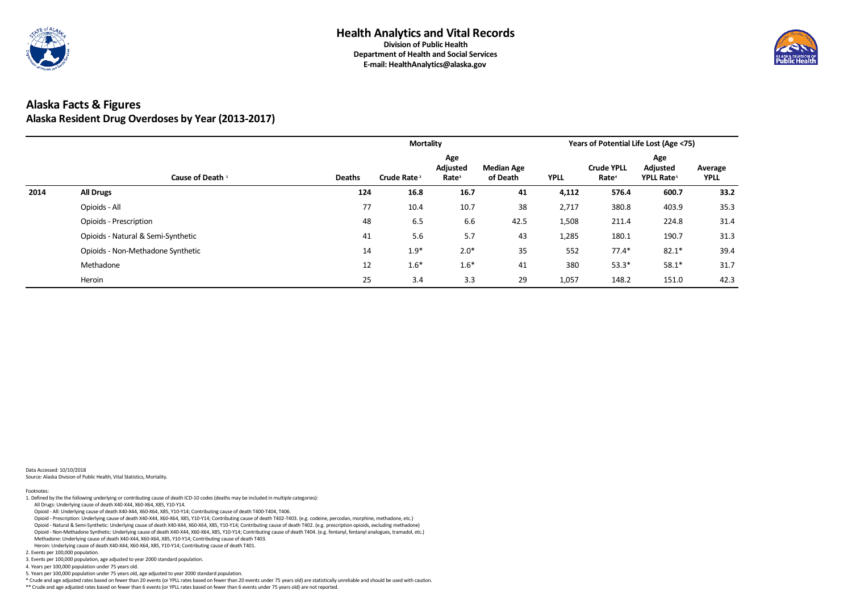

# **Alaska Facts & Figures Alaska Resident Drug Overdoses by Year (2013-2017)**

|      |                                    |               | <b>Mortality</b>        |                                      |                               |             |                                        | <b>Years of Potential Life Lost (Age &lt;75)</b> |                        |
|------|------------------------------------|---------------|-------------------------|--------------------------------------|-------------------------------|-------------|----------------------------------------|--------------------------------------------------|------------------------|
|      | Cause of Death <sup>1</sup>        | <b>Deaths</b> | Crude Rate <sup>2</sup> | Age<br>Adjusted<br>Rate <sup>3</sup> | <b>Median Age</b><br>of Death | <b>YPLL</b> | <b>Crude YPLL</b><br>Rate <sup>4</sup> | Age<br>Adjusted<br>YPLL Rate <sup>5</sup>        | Average<br><b>YPLL</b> |
| 2014 | <b>All Drugs</b>                   | 124           | 16.8                    | 16.7                                 | 41                            | 4,112       | 576.4                                  | 600.7                                            | 33.2                   |
|      | Opioids - All                      | 77            | 10.4                    | 10.7                                 | 38                            | 2,717       | 380.8                                  | 403.9                                            | 35.3                   |
|      | <b>Opioids - Prescription</b>      | 48            | 6.5                     | 6.6                                  | 42.5                          | 1,508       | 211.4                                  | 224.8                                            | 31.4                   |
|      | Opioids - Natural & Semi-Synthetic | 41            | 5.6                     | 5.7                                  | 43                            | 1,285       | 180.1                                  | 190.7                                            | 31.3                   |
|      | Opioids - Non-Methadone Synthetic  | 14            | $1.9*$                  | $2.0*$                               | 35                            | 552         | $77.4*$                                | $82.1*$                                          | 39.4                   |
|      | Methadone                          | 12            | $1.6*$                  | $1.6*$                               | 41                            | 380         | $53.3*$                                | $58.1*$                                          | 31.7                   |
|      | Heroin                             | 25            | 3.4                     | 3.3                                  | 29                            | 1,057       | 148.2                                  | 151.0                                            | 42.3                   |

Data Accessed: 10/10/2018 Source: Alaska Division of Public Health, Vital Statistics, Mortality.

\*\* Crude and age adjusted rates based on fewer than 6 events (or YPLL rates based on fewer than 6 events under 75 years old) are not reported.



5. Years per 100,000 population under 75 years old, age adjusted to year 2000 standard population.

\* Crude and age adjusted rates based on fewer than 20 events (or YPLL rates based on fewer than 20 events under 75 years old) are statistically unreliable and should be used with caution.

3. Events per 100,000 population, age adjusted to year 2000 standard population.

4. Years per 100,000 population under 75 years old.

- Opioid Non-Methadone Synthetic: Underlying cause of death X40-X44, X60-X64, X85, Y10-Y14; Contributing cause of death T404. (e.g. fentanyl, fentanyl analogues, tramadol, etc.) Methadone: Underlying cause of death X40-X44, X60-X64, X85, Y10-Y14; Contributing cause of death T403.
- Heroin: Underlying cause of death X40-X44, X60-X64, X85, Y10-Y14; Contributing cause of death T401.

2. Events per 100,000 population.

Opioid - Prescription: Underlying cause of death X40-X44, X60-X64, X85, Y10-Y14; Contributing cause of death T402-T403. (e.g. codeine, percodan, morphine, methadone, etc.)

Opioid - Natural & Semi-Synthetic: Underlying cause of death X40-X44, X60-X64, X85, Y10-Y14; Contributing cause of death T402. (e.g. prescription opioids, excluding methadone)

All Drugs: Underlying cause of death X40-X44, X60-X64, X85, Y10-Y14.

Opioid - All: Underlying cause of death X40-X44, X60-X64, X85, Y10-Y14; Contributing cause of death T400-T404, T406.

Footnotes: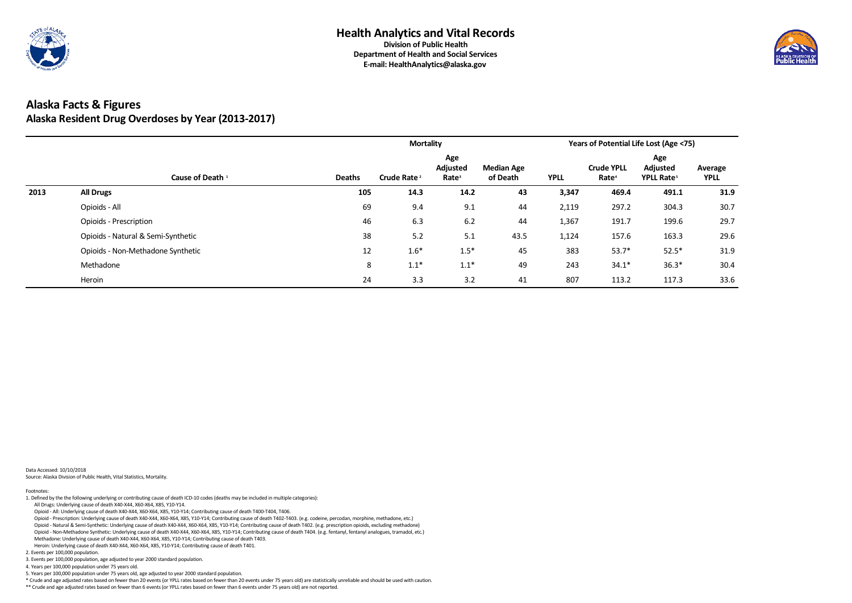

# **Alaska Facts & Figures Alaska Resident Drug Overdoses by Year (2013-2017)**

|      |                                    |               | <b>Mortality</b>        |                                      |                               |             |                                        | <b>Years of Potential Life Lost (Age &lt;75)</b> |                        |
|------|------------------------------------|---------------|-------------------------|--------------------------------------|-------------------------------|-------------|----------------------------------------|--------------------------------------------------|------------------------|
|      | Cause of Death <sup>1</sup>        | <b>Deaths</b> | Crude Rate <sup>2</sup> | Age<br>Adjusted<br>Rate <sup>3</sup> | <b>Median Age</b><br>of Death | <b>YPLL</b> | <b>Crude YPLL</b><br>Rate <sup>4</sup> | Age<br><b>Adjusted</b><br>YPLL Rate <sup>5</sup> | Average<br><b>YPLL</b> |
| 2013 | <b>All Drugs</b>                   | 105           | 14.3                    | 14.2                                 | 43                            | 3,347       | 469.4                                  | 491.1                                            | 31.9                   |
|      | Opioids - All                      | 69            | 9.4                     | 9.1                                  | 44                            | 2,119       | 297.2                                  | 304.3                                            | 30.7                   |
|      | <b>Opioids - Prescription</b>      | 46            | 6.3                     | 6.2                                  | 44                            | 1,367       | 191.7                                  | 199.6                                            | 29.7                   |
|      | Opioids - Natural & Semi-Synthetic | 38            | 5.2                     | 5.1                                  | 43.5                          | 1,124       | 157.6                                  | 163.3                                            | 29.6                   |
|      | Opioids - Non-Methadone Synthetic  | 12            | $1.6*$                  | $1.5*$                               | 45                            | 383         | $53.7*$                                | $52.5*$                                          | 31.9                   |
|      | Methadone                          | 8             | $1.1*$                  | $1.1*$                               | 49                            | 243         | $34.1*$                                | $36.3*$                                          | 30.4                   |
|      | Heroin                             | 24            | 3.3                     | 3.2                                  | 41                            | 807         | 113.2                                  | 117.3                                            | 33.6                   |

Data Accessed: 10/10/2018 Source: Alaska Division of Public Health, Vital Statistics, Mortality.

\*\* Crude and age adjusted rates based on fewer than 6 events (or YPLL rates based on fewer than 6 events under 75 years old) are not reported.



5. Years per 100,000 population under 75 years old, age adjusted to year 2000 standard population.

\* Crude and age adjusted rates based on fewer than 20 events (or YPLL rates based on fewer than 20 events under 75 years old) are statistically unreliable and should be used with caution.

3. Events per 100,000 population, age adjusted to year 2000 standard population.

4. Years per 100,000 population under 75 years old.

Heroin: Underlying cause of death X40-X44, X60-X64, X85, Y10-Y14; Contributing cause of death T401.

2. Events per 100,000 population.

 Opioid - Non-Methadone Synthetic: Underlying cause of death X40-X44, X60-X64, X85, Y10-Y14; Contributing cause of death T404. (e.g. fentanyl, fentanyl analogues, tramadol, etc.) Methadone: Underlying cause of death X40-X44, X60-X64, X85, Y10-Y14; Contributing cause of death T403.

Opioid - Prescription: Underlying cause of death X40-X44, X60-X64, X85, Y10-Y14; Contributing cause of death T402-T403. (e.g. codeine, percodan, morphine, methadone, etc.)

Opioid - Natural & Semi-Synthetic: Underlying cause of death X40-X44, X60-X64, X85, Y10-Y14; Contributing cause of death T402. (e.g. prescription opioids, excluding methadone)

All Drugs: Underlying cause of death X40-X44, X60-X64, X85, Y10-Y14.

Opioid - All: Underlying cause of death X40-X44, X60-X64, X85, Y10-Y14; Contributing cause of death T400-T404, T406.

Footnotes: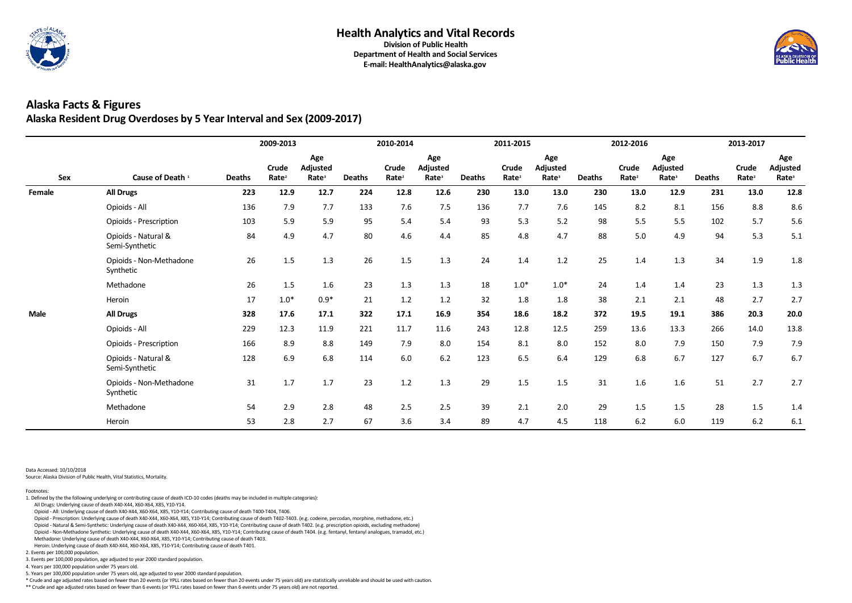

**Department of Health and Social Services E-mail: HealthAnalytics@alaska.gov**

### **Alaska Facts & Figures Alaska Resident Drug Overdoses by 5 Year Interval and Sex (2009-2017)**

|             |                                       |               | 2009-2013                         |                                             |               | 2010-2014                         |                                             |               | 2011-2015                  |                                      |               | 2012-2016                  |                                             |               | 2013-2017                  |                                      |
|-------------|---------------------------------------|---------------|-----------------------------------|---------------------------------------------|---------------|-----------------------------------|---------------------------------------------|---------------|----------------------------|--------------------------------------|---------------|----------------------------|---------------------------------------------|---------------|----------------------------|--------------------------------------|
| Sex         | Cause of Death <sup>1</sup>           | <b>Deaths</b> | <b>Crude</b><br>Rate <sup>2</sup> | Age<br><b>Adjusted</b><br>Rate <sup>3</sup> | <b>Deaths</b> | <b>Crude</b><br>Rate <sup>2</sup> | Age<br><b>Adjusted</b><br>Rate <sup>3</sup> | <b>Deaths</b> | Crude<br>Rate <sup>2</sup> | Age<br>Adjusted<br>Rate <sup>3</sup> | <b>Deaths</b> | Crude<br>Rate <sup>2</sup> | Age<br><b>Adjusted</b><br>Rate <sup>3</sup> | <b>Deaths</b> | Crude<br>Rate <sup>2</sup> | Age<br>Adjusted<br>Rate <sup>3</sup> |
| Female      | <b>All Drugs</b>                      | 223           | 12.9                              | 12.7                                        | 224           | 12.8                              | 12.6                                        | 230           | 13.0                       | 13.0                                 | 230           | 13.0                       | 12.9                                        | 231           | 13.0                       | 12.8                                 |
|             | Opioids - All                         | 136           | 7.9                               | 7.7                                         | 133           | 7.6                               | 7.5                                         | 136           | 7.7                        | 7.6                                  | 145           | 8.2                        | 8.1                                         | 156           | 8.8                        | 8.6                                  |
|             | <b>Opioids - Prescription</b>         | 103           | 5.9                               | 5.9                                         | 95            | 5.4                               | 5.4                                         | 93            | 5.3                        | 5.2                                  | 98            | 5.5                        | 5.5                                         | 102           | 5.7                        | 5.6                                  |
|             | Opioids - Natural &<br>Semi-Synthetic | 84            | 4.9                               | 4.7                                         | 80            | 4.6                               | 4.4                                         | 85            | 4.8                        | 4.7                                  | 88            | 5.0                        | 4.9                                         | 94            | 5.3                        | 5.1                                  |
|             | Opioids - Non-Methadone<br>Synthetic  | 26            | 1.5                               | 1.3                                         | 26            | 1.5                               | 1.3                                         | 24            | 1.4                        | 1.2                                  | 25            | 1.4                        | 1.3                                         | 34            | 1.9                        | 1.8                                  |
|             | Methadone                             | 26            | 1.5                               | 1.6                                         | 23            | 1.3                               | 1.3                                         | 18            | $1.0*$                     | $1.0*$                               | 24            | 1.4                        | 1.4                                         | 23            | 1.3                        | 1.3                                  |
|             | Heroin                                | 17            | $1.0*$                            | $0.9*$                                      | 21            | 1.2                               | 1.2                                         | 32            | 1.8                        | 1.8                                  | 38            | 2.1                        | 2.1                                         | 48            | 2.7                        | 2.7                                  |
| <b>Male</b> | <b>All Drugs</b>                      | 328           | 17.6                              | 17.1                                        | 322           | 17.1                              | 16.9                                        | 354           | 18.6                       | 18.2                                 | 372           | 19.5                       | 19.1                                        | 386           | 20.3                       | 20.0                                 |
|             | Opioids - All                         | 229           | 12.3                              | 11.9                                        | 221           | 11.7                              | 11.6                                        | 243           | 12.8                       | 12.5                                 | 259           | 13.6                       | 13.3                                        | 266           | 14.0                       | 13.8                                 |
|             | <b>Opioids - Prescription</b>         | 166           | 8.9                               | 8.8                                         | 149           | 7.9                               | 8.0                                         | 154           | 8.1                        | 8.0                                  | 152           | 8.0                        | 7.9                                         | 150           | 7.9                        | 7.9                                  |
|             | Opioids - Natural &<br>Semi-Synthetic | 128           | 6.9                               | 6.8                                         | 114           | 6.0                               | 6.2                                         | 123           | 6.5                        | 6.4                                  | 129           | 6.8                        | 6.7                                         | 127           | 6.7                        | 6.7                                  |
|             | Opioids - Non-Methadone<br>Synthetic  | 31            | 1.7                               | 1.7                                         | 23            | 1.2                               | 1.3                                         | 29            | 1.5                        | 1.5                                  | 31            | 1.6                        | 1.6                                         | 51            | 2.7                        | 2.7                                  |
|             | Methadone                             | 54            | 2.9                               | 2.8                                         | 48            | 2.5                               | 2.5                                         | 39            | 2.1                        | 2.0                                  | 29            | 1.5                        | 1.5                                         | 28            | 1.5                        | $1.4\,$                              |
|             | Heroin                                | 53            | 2.8                               | 2.7                                         | 67            | 3.6                               | 3.4                                         | 89            | 4.7                        | 4.5                                  | 118           | 6.2                        | 6.0                                         | 119           | 6.2                        | 6.1                                  |

Data Accessed: 10/10/2018

Source: Alaska Division of Public Health, Vital Statistics, Mortality.

\*\* Crude and age adjusted rates based on fewer than 6 events (or YPLL rates based on fewer than 6 events under 75 years old) are not reported.



5. Years per 100,000 population under 75 years old, age adjusted to year 2000 standard population.

\* Crude and age adjusted rates based on fewer than 20 events (or YPLL rates based on fewer than 20 events under 75 years old) are statistically unreliable and should be used with caution.

3. Events per 100,000 population, age adjusted to year 2000 standard population.

4. Years per 100,000 population under 75 years old.

2. Events per 100,000 population.

 Heroin: Underlying cause of death X40-X44, X60-X64, X85, Y10-Y14; Contributing cause of death T401. Methadone: Underlying cause of death X40-X44, X60-X64, X85, Y10-Y14; Contributing cause of death T403.

Opioid - Non-Methadone Synthetic: Underlying cause of death X40-X44, X60-X64, X85, Y10-Y14; Contributing cause of death T404. (e.g. fentanyl, fentanyl analogues, tramadol, etc.)

Opioid - Prescription: Underlying cause of death X40-X44, X60-X64, X85, Y10-Y14; Contributing cause of death T402-T403. (e.g. codeine, percodan, morphine, methadone, etc.)

Opioid - Natural & Semi-Synthetic: Underlying cause of death X40-X44, X60-X64, X85, Y10-Y14; Contributing cause of death T402. (e.g. prescription opioids, excluding methadone)

All Drugs: Underlying cause of death X40-X44, X60-X64, X85, Y10-Y14.

Opioid - All: Underlying cause of death X40-X44, X60-X64, X85, Y10-Y14; Contributing cause of death T400-T404, T406.

Footnotes: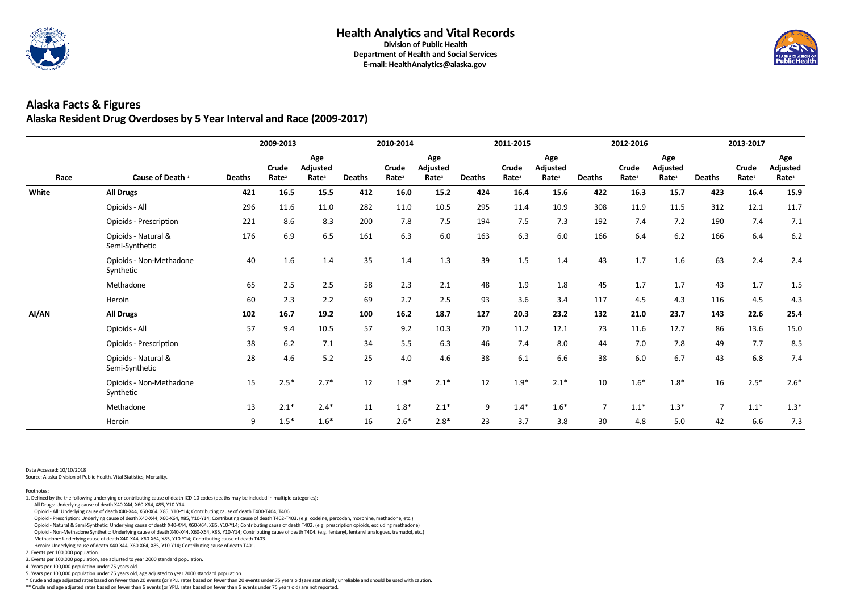

**Department of Health and Social Services E-mail: HealthAnalytics@alaska.gov**

## **Alaska Facts & Figures Alaska Resident Drug Overdoses by 5 Year Interval and Race (2009-2017)**

|       |                                       |               | 2009-2013                  |                                             |               | 2010-2014                  |                                             |               | 2011-2015                         |                                             |                | 2012-2016                  |                                             |                | 2013-2017                  |                                      |
|-------|---------------------------------------|---------------|----------------------------|---------------------------------------------|---------------|----------------------------|---------------------------------------------|---------------|-----------------------------------|---------------------------------------------|----------------|----------------------------|---------------------------------------------|----------------|----------------------------|--------------------------------------|
| Race  | Cause of Death <sup>1</sup>           | <b>Deaths</b> | Crude<br>Rate <sup>2</sup> | Age<br><b>Adjusted</b><br>Rate <sup>3</sup> | <b>Deaths</b> | Crude<br>Rate <sup>2</sup> | Age<br><b>Adjusted</b><br>Rate <sup>3</sup> | <b>Deaths</b> | <b>Crude</b><br>Rate <sup>2</sup> | Age<br><b>Adjusted</b><br>Rate <sup>3</sup> | <b>Deaths</b>  | Crude<br>Rate <sup>2</sup> | Age<br><b>Adjusted</b><br>Rate <sup>3</sup> | <b>Deaths</b>  | Crude<br>Rate <sup>2</sup> | Age<br>Adjusted<br>Rate <sup>3</sup> |
| White | <b>All Drugs</b>                      | 421           | 16.5                       | 15.5                                        | 412           | 16.0                       | 15.2                                        | 424           | 16.4                              | 15.6                                        | 422            | 16.3                       | 15.7                                        | 423            | 16.4                       | 15.9                                 |
|       | Opioids - All                         | 296           | 11.6                       | 11.0                                        | 282           | 11.0                       | 10.5                                        | 295           | 11.4                              | 10.9                                        | 308            | 11.9                       | 11.5                                        | 312            | 12.1                       | 11.7                                 |
|       | Opioids - Prescription                | 221           | 8.6                        | 8.3                                         | 200           | 7.8                        | 7.5                                         | 194           | 7.5                               | 7.3                                         | 192            | 7.4                        | 7.2                                         | 190            | 7.4                        | 7.1                                  |
|       | Opioids - Natural &<br>Semi-Synthetic | 176           | 6.9                        | 6.5                                         | 161           | 6.3                        | 6.0                                         | 163           | 6.3                               | $6.0$                                       | 166            | 6.4                        | 6.2                                         | 166            | 6.4                        | 6.2                                  |
|       | Opioids - Non-Methadone<br>Synthetic  | 40            | 1.6                        | 1.4                                         | 35            | 1.4                        | 1.3                                         | 39            | 1.5                               | 1.4                                         | 43             | 1.7                        | 1.6                                         | 63             | 2.4                        | 2.4                                  |
|       | Methadone                             | 65            | 2.5                        | 2.5                                         | 58            | 2.3                        | 2.1                                         | 48            | 1.9                               | 1.8                                         | 45             | 1.7                        | 1.7                                         | 43             | 1.7                        | 1.5                                  |
|       | Heroin                                | 60            | 2.3                        | 2.2                                         | 69            | 2.7                        | 2.5                                         | 93            | 3.6                               | 3.4                                         | 117            | 4.5                        | 4.3                                         | 116            | 4.5                        | 4.3                                  |
| AI/AN | <b>All Drugs</b>                      | 102           | 16.7                       | 19.2                                        | 100           | $16.2$                     | 18.7                                        | 127           | 20.3                              | 23.2                                        | 132            | 21.0                       | 23.7                                        | 143            | 22.6                       | 25.4                                 |
|       | Opioids - All                         | 57            | 9.4                        | 10.5                                        | 57            | 9.2                        | 10.3                                        | 70            | 11.2                              | 12.1                                        | 73             | 11.6                       | 12.7                                        | 86             | 13.6                       | 15.0                                 |
|       | <b>Opioids - Prescription</b>         | 38            | 6.2                        | 7.1                                         | 34            | 5.5                        | 6.3                                         | 46            | 7.4                               | 8.0                                         | 44             | 7.0                        | 7.8                                         | 49             | 7.7                        | 8.5                                  |
|       | Opioids - Natural &<br>Semi-Synthetic | 28            | 4.6                        | 5.2                                         | 25            | 4.0                        | 4.6                                         | 38            | 6.1                               | 6.6                                         | 38             | 6.0                        | 6.7                                         | 43             | 6.8                        | 7.4                                  |
|       | Opioids - Non-Methadone<br>Synthetic  | 15            | $2.5*$                     | $2.7*$                                      | 12            | $1.9*$                     | $2.1*$                                      | 12            | $1.9*$                            | $2.1*$                                      | 10             | $1.6*$                     | $1.8*$                                      | 16             | $2.5*$                     | $2.6*$                               |
|       | Methadone                             | 13            | $2.1*$                     | $2.4*$                                      | 11            | $1.8*$                     | $2.1*$                                      | 9             | $1.4*$                            | $1.6*$                                      | $\overline{7}$ | $1.1*$                     | $1.3*$                                      | $\overline{7}$ | $1.1*$                     | $1.3*$                               |
|       | Heroin                                | 9             | $1.5*$                     | $1.6*$                                      | 16            | $2.6*$                     | $2.8*$                                      | 23            | 3.7                               | 3.8                                         | 30             | 4.8                        | 5.0                                         | 42             | 6.6                        | 7.3                                  |

Data Accessed: 10/10/2018

Source: Alaska Division of Public Health, Vital Statistics, Mortality.

\*\* Crude and age adjusted rates based on fewer than 6 events (or YPLL rates based on fewer than 6 events under 75 years old) are not reported.



5. Years per 100,000 population under 75 years old, age adjusted to year 2000 standard population.

\* Crude and age adjusted rates based on fewer than 20 events (or YPLL rates based on fewer than 20 events under 75 years old) are statistically unreliable and should be used with caution.

3. Events per 100,000 population, age adjusted to year 2000 standard population.

4. Years per 100,000 population under 75 years old.

2. Events per 100,000 population.

 Heroin: Underlying cause of death X40-X44, X60-X64, X85, Y10-Y14; Contributing cause of death T401. Methadone: Underlying cause of death X40-X44, X60-X64, X85, Y10-Y14; Contributing cause of death T403.

Opioid - Non-Methadone Synthetic: Underlying cause of death X40-X44, X60-X64, X85, Y10-Y14; Contributing cause of death T404. (e.g. fentanyl, fentanyl analogues, tramadol, etc.)

Opioid - Prescription: Underlying cause of death X40-X44, X60-X64, X85, Y10-Y14; Contributing cause of death T402-T403. (e.g. codeine, percodan, morphine, methadone, etc.)

Opioid - Natural & Semi-Synthetic: Underlying cause of death X40-X44, X60-X64, X85, Y10-Y14; Contributing cause of death T402. (e.g. prescription opioids, excluding methadone)

All Drugs: Underlying cause of death X40-X44, X60-X64, X85, Y10-Y14.

Opioid - All: Underlying cause of death X40-X44, X60-X64, X85, Y10-Y14; Contributing cause of death T400-T404, T406.

Footnotes: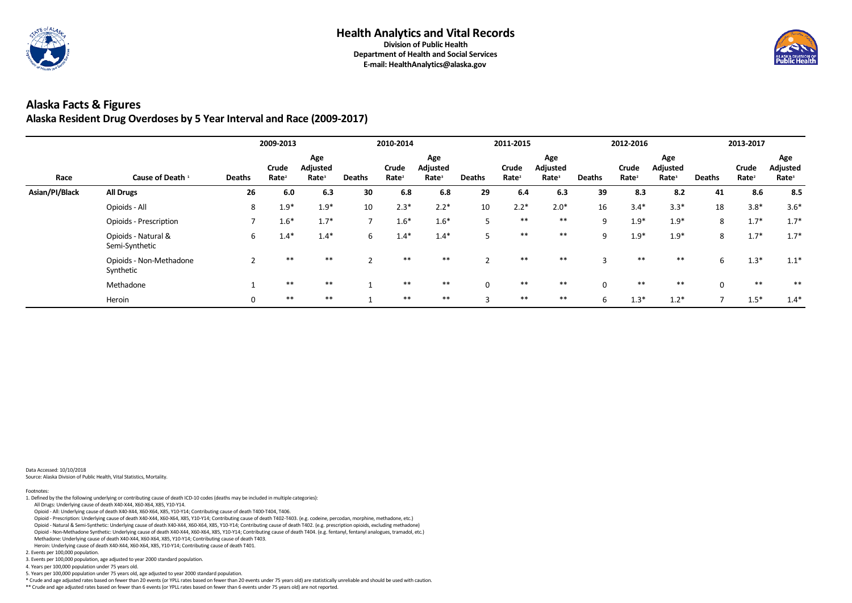

## **Alaska Facts & Figures Alaska Resident Drug Overdoses by 5 Year Interval and Race (2009-2017)**

|                |                                       |               | 2009-2013                  |                                             |               | 2010-2014                  |                                             |                   | 2011-2015                  |                                      |               | 2012-2016                  |                                      |               | 2013-2017                  |                                             |
|----------------|---------------------------------------|---------------|----------------------------|---------------------------------------------|---------------|----------------------------|---------------------------------------------|-------------------|----------------------------|--------------------------------------|---------------|----------------------------|--------------------------------------|---------------|----------------------------|---------------------------------------------|
| Race           | Cause of Death <sup>1</sup>           | <b>Deaths</b> | Crude<br>Rate <sup>2</sup> | Age<br><b>Adjusted</b><br>Rate <sup>3</sup> | <b>Deaths</b> | Crude<br>Rate <sup>2</sup> | Age<br><b>Adjusted</b><br>Rate <sup>3</sup> | <b>Deaths</b>     | Crude<br>Rate <sup>2</sup> | Age<br>Adjusted<br>Rate <sup>3</sup> | <b>Deaths</b> | Crude<br>Rate <sup>2</sup> | Age<br>Adjusted<br>Rate <sup>3</sup> | <b>Deaths</b> | Crude<br>Rate <sup>2</sup> | Age<br><b>Adjusted</b><br>Rate <sup>3</sup> |
| Asian/PI/Black | <b>All Drugs</b>                      | 26            | 6.0                        | 6.3                                         | 30            | 6.8                        | 6.8                                         | 29                | 6.4                        | 6.3                                  | 39            | 8.3                        | 8.2                                  | 41            | 8.6                        | 8.5                                         |
|                | Opioids - All                         | 8             | $1.9*$                     | $1.9*$                                      | 10            | $2.3*$                     | $2.2*$                                      | 10                | $2.2*$                     | $2.0*$                               | 16            | $3.4*$                     | $3.3*$                               | 18            | $3.8*$                     | $3.6*$                                      |
|                | <b>Opioids - Prescription</b>         |               | $1.6*$                     | $1.7*$                                      | ⇁             | $1.6*$                     | $1.6*$                                      | 5                 | $***$                      | $***$                                | 9             | $1.9*$                     | $1.9*$                               | 8             | $1.7*$                     | $1.7*$                                      |
|                | Opioids - Natural &<br>Semi-Synthetic | 6             | $1.4*$                     | $1.4*$                                      | 6             | $1.4*$                     | $1.4*$                                      | 5                 | $***$                      | $***$                                | 9             | $1.9*$                     | $1.9*$                               | 8             | $1.7*$                     | $1.7*$                                      |
|                | Opioids - Non-Methadone<br>Synthetic  |               | $***$                      | $***$                                       |               | $***$                      | $***$                                       |                   | $***$                      | $***$                                | 3             | $***$                      | $***$                                | 6             | $1.3*$                     | $1.1*$                                      |
|                | Methadone                             |               | **                         | **                                          |               | $***$                      | $***$                                       | $\mathbf 0$       | $***$                      | $***$                                | $\mathbf 0$   | $***$                      | $***$                                | $\Omega$      | $***$                      | $***$                                       |
|                | Heroin                                | 0             | $***$                      | $***$                                       |               | $***$                      | $***$                                       | $\mathbf{\Omega}$ | $***$                      | $***$                                | 6             | $1.3*$                     | $1.2*$                               |               | $1.5*$                     | $1.4*$                                      |

Data Accessed: 10/10/2018

Source: Alaska Division of Public Health, Vital Statistics, Mortality.

\*\* Crude and age adjusted rates based on fewer than 6 events (or YPLL rates based on fewer than 6 events under 75 years old) are not reported.



- 5. Years per 100,000 population under 75 years old, age adjusted to year 2000 standard population.
- \* Crude and age adjusted rates based on fewer than 20 events (or YPLL rates based on fewer than 20 events under 75 years old) are statistically unreliable and should be used with caution.

3. Events per 100,000 population, age adjusted to year 2000 standard population.

4. Years per 100,000 population under 75 years old.

2. Events per 100,000 population.

- Opioid All: Underlying cause of death X40-X44, X60-X64, X85, Y10-Y14; Contributing cause of death T400-T404, T406.
- Opioid Prescription: Underlying cause of death X40-X44, X60-X64, X85, Y10-Y14; Contributing cause of death T402-T403. (e.g. codeine, percodan, morphine, methadone, etc.)
- Opioid Natural & Semi-Synthetic: Underlying cause of death X40-X44, X60-X64, X85, Y10-Y14; Contributing cause of death T402. (e.g. prescription opioids, excluding methadone)
- Opioid Non-Methadone Synthetic: Underlying cause of death X40-X44, X60-X64, X85, Y10-Y14; Contributing cause of death T404. (e.g. fentanyl, fentanyl analogues, tramadol, etc.) Methadone: Underlying cause of death X40-X44, X60-X64, X85, Y10-Y14; Contributing cause of death T403.
- Heroin: Underlying cause of death X40-X44, X60-X64, X85, Y10-Y14; Contributing cause of death T401.

All Drugs: Underlying cause of death X40-X44, X60-X64, X85, Y10-Y14.

Footnotes: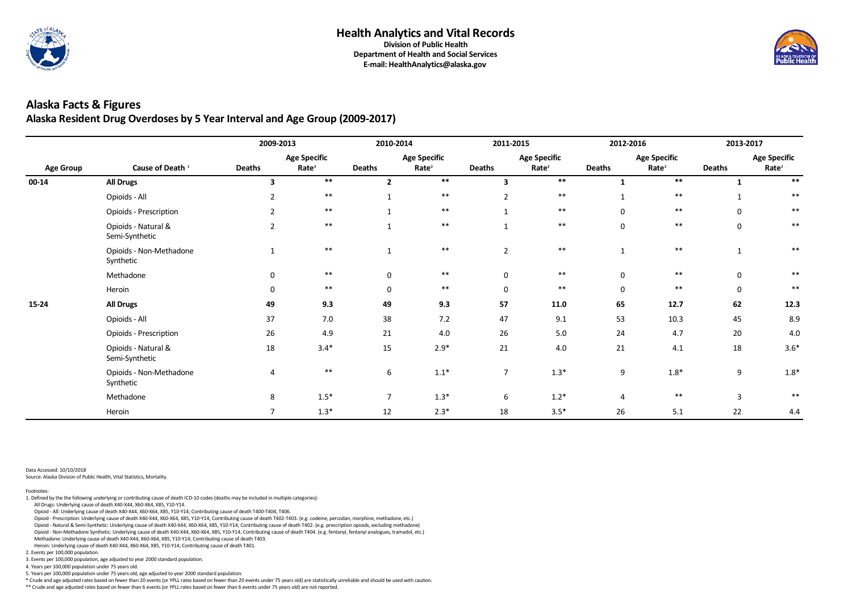

### **Alaska Facts & Figures Alaska Resident Drug Overdoses by 5 Year Interval and Age Group (2009-2017)**

|                  |                                       | 2009-2013     |                                          | 2010-2014      |                                          | 2011-2015      |                                          | 2012-2016        |                                          | 2013-2017        |                                          |
|------------------|---------------------------------------|---------------|------------------------------------------|----------------|------------------------------------------|----------------|------------------------------------------|------------------|------------------------------------------|------------------|------------------------------------------|
| <b>Age Group</b> | Cause of Death <sup>1</sup>           | <b>Deaths</b> | <b>Age Specific</b><br>Rate <sup>2</sup> | <b>Deaths</b>  | <b>Age Specific</b><br>Rate <sup>2</sup> | <b>Deaths</b>  | <b>Age Specific</b><br>Rate <sup>2</sup> | <b>Deaths</b>    | <b>Age Specific</b><br>Rate <sup>2</sup> | <b>Deaths</b>    | <b>Age Specific</b><br>Rate <sup>2</sup> |
| $00 - 14$        | <b>All Drugs</b>                      | 3             | $***$                                    | $\overline{2}$ | $***$                                    | 3              | $***$                                    |                  | **                                       |                  | $***$                                    |
|                  | Opioids - All                         |               | $***$                                    |                | $***$                                    |                | $***$                                    |                  | $***$                                    |                  | $***$                                    |
|                  | Opioids - Prescription                | $2^{\circ}$   | $***$                                    |                | $***$                                    |                | $***$                                    | $\overline{0}$   | $***$                                    | $\mathbf 0$      | $***$                                    |
|                  | Opioids - Natural &<br>Semi-Synthetic | $2^{\circ}$   | $***$                                    |                | $***$                                    |                | $***$                                    | $\mathbf 0$      | $***$                                    | $\mathbf 0$      | $***$                                    |
|                  | Opioids - Non-Methadone<br>Synthetic  |               | $***$                                    |                | $***$                                    | $\overline{2}$ | $***$                                    | $\mathbf{1}$     | $***$                                    |                  | $\ast\ast$                               |
|                  | Methadone                             | $\mathbf 0$   | $***$                                    | $\mathbf 0$    | $***$                                    | $\mathbf 0$    | $***$                                    | $\mathbf 0$      | $***$                                    | $\mathbf 0$      | $***$                                    |
|                  | Heroin                                | $\mathbf 0$   | $***$                                    | 0              | $***$                                    | $\mathbf 0$    | $***$                                    | $\mathbf 0$      | $***$                                    | $\mathbf 0$      | $***$                                    |
| $15 - 24$        | <b>All Drugs</b>                      | 49            | 9.3                                      | 49             | 9.3                                      | 57             | 11.0                                     | 65               | 12.7                                     | 62               | 12.3                                     |
|                  | Opioids - All                         | 37            | 7.0                                      | 38             | 7.2                                      | 47             | 9.1                                      | 53               | 10.3                                     | 45               | 8.9                                      |
|                  | <b>Opioids - Prescription</b>         | 26            | 4.9                                      | 21             | $4.0$                                    | 26             | 5.0                                      | 24               | 4.7                                      | 20               | 4.0                                      |
|                  | Opioids - Natural &<br>Semi-Synthetic | 18            | $3.4*$                                   | 15             | $2.9*$                                   | 21             | 4.0                                      | 21               | 4.1                                      | 18               | $3.6*$                                   |
|                  | Opioids - Non-Methadone<br>Synthetic  | 4             | $***$                                    | 6              | $1.1*$                                   | $\overline{7}$ | $1.3*$                                   | $\boldsymbol{9}$ | $1.8*$                                   | $\boldsymbol{9}$ | $1.8*$                                   |
|                  | Methadone                             | 8             | $1.5*$                                   | $\overline{7}$ | $1.3*$                                   | 6              | $1.2*$                                   | $\overline{4}$   | $***$                                    | 3                | $***$                                    |
|                  | Heroin                                |               | $1.3*$                                   | 12             | $2.3*$                                   | 18             | $3.5*$                                   | 26               | 5.1                                      | 22               | 4.4                                      |

Data Accessed: 10/10/2018

Source: Alaska Division of Public Health, Vital Statistics, Mortality.

\*\* Crude and age adjusted rates based on fewer than 6 events (or YPLL rates based on fewer than 6 events under 75 years old) are not reported.



5. Years per 100,000 population under 75 years old, age adjusted to year 2000 standard population.

\* Crude and age adjusted rates based on fewer than 20 events (or YPLL rates based on fewer than 20 events under 75 years old) are statistically unreliable and should be used with caution.

3. Events per 100,000 population, age adjusted to year 2000 standard population.

4. Years per 100,000 population under 75 years old.

2. Events per 100,000 population.

 Heroin: Underlying cause of death X40-X44, X60-X64, X85, Y10-Y14; Contributing cause of death T401. Methadone: Underlying cause of death X40-X44, X60-X64, X85, Y10-Y14; Contributing cause of death T403.

Opioid - Non-Methadone Synthetic: Underlying cause of death X40-X44, X60-X64, X85, Y10-Y14; Contributing cause of death T404. (e.g. fentanyl, fentanyl analogues, tramadol, etc.)

Opioid - Prescription: Underlying cause of death X40-X44, X60-X64, X85, Y10-Y14; Contributing cause of death T402-T403. (e.g. codeine, percodan, morphine, methadone, etc.)

Opioid - Natural & Semi-Synthetic: Underlying cause of death X40-X44, X60-X64, X85, Y10-Y14; Contributing cause of death T402. (e.g. prescription opioids, excluding methadone)

All Drugs: Underlying cause of death X40-X44, X60-X64, X85, Y10-Y14.

Opioid - All: Underlying cause of death X40-X44, X60-X64, X85, Y10-Y14; Contributing cause of death T400-T404, T406.

Footnotes: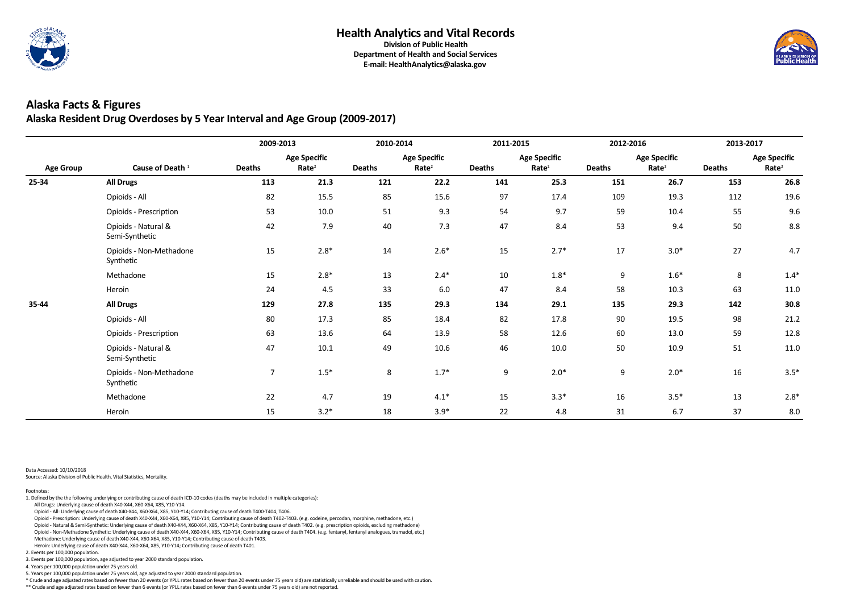

**Department of Health and Social Services E-mail: HealthAnalytics@alaska.gov**

### **Alaska Facts & Figures Alaska Resident Drug Overdoses by 5 Year Interval and Age Group (2009-2017)**

|                  |                                       | 2009-2013      |                                          | 2010-2014     |                                          | 2011-2015     |                                          | 2012-2016        |                                          | 2013-2017     |                                          |
|------------------|---------------------------------------|----------------|------------------------------------------|---------------|------------------------------------------|---------------|------------------------------------------|------------------|------------------------------------------|---------------|------------------------------------------|
| <b>Age Group</b> | Cause of Death <sup>1</sup>           | <b>Deaths</b>  | <b>Age Specific</b><br>Rate <sup>2</sup> | <b>Deaths</b> | <b>Age Specific</b><br>Rate <sup>2</sup> | <b>Deaths</b> | <b>Age Specific</b><br>Rate <sup>2</sup> | <b>Deaths</b>    | <b>Age Specific</b><br>Rate <sup>2</sup> | <b>Deaths</b> | <b>Age Specific</b><br>Rate <sup>2</sup> |
| 25-34            | <b>All Drugs</b>                      | 113            | 21.3                                     | 121           | 22.2                                     | 141           | 25.3                                     | 151              | 26.7                                     | 153           | 26.8                                     |
|                  | Opioids - All                         | 82             | 15.5                                     | 85            | 15.6                                     | 97            | 17.4                                     | 109              | 19.3                                     | 112           | 19.6                                     |
|                  | <b>Opioids - Prescription</b>         | 53             | 10.0                                     | 51            | 9.3                                      | 54            | 9.7                                      | 59               | 10.4                                     | 55            | 9.6                                      |
|                  | Opioids - Natural &<br>Semi-Synthetic | 42             | 7.9                                      | 40            | 7.3                                      | 47            | 8.4                                      | 53               | 9.4                                      | $50\,$        | 8.8                                      |
|                  | Opioids - Non-Methadone<br>Synthetic  | 15             | $2.8*$                                   | 14            | $2.6*$                                   | 15            | $2.7*$                                   | 17               | $3.0*$                                   | 27            | 4.7                                      |
|                  | Methadone                             | 15             | $2.8*$                                   | 13            | $2.4*$                                   | 10            | $1.8*$                                   | $\boldsymbol{9}$ | $1.6*$                                   | 8             | $1.4*$                                   |
|                  | Heroin                                | 24             | 4.5                                      | 33            | 6.0                                      | 47            | 8.4                                      | 58               | 10.3                                     | 63            | 11.0                                     |
| 35-44            | <b>All Drugs</b>                      | 129            | 27.8                                     | 135           | 29.3                                     | 134           | 29.1                                     | 135              | 29.3                                     | 142           | 30.8                                     |
|                  | Opioids - All                         | 80             | 17.3                                     | 85            | 18.4                                     | 82            | 17.8                                     | 90               | 19.5                                     | 98            | 21.2                                     |
|                  | <b>Opioids - Prescription</b>         | 63             | 13.6                                     | 64            | 13.9                                     | 58            | 12.6                                     | 60               | 13.0                                     | 59            | 12.8                                     |
|                  | Opioids - Natural &<br>Semi-Synthetic | 47             | 10.1                                     | 49            | 10.6                                     | 46            | 10.0                                     | 50               | 10.9                                     | 51            | 11.0                                     |
|                  | Opioids - Non-Methadone<br>Synthetic  | $\overline{7}$ | $1.5*$                                   | 8             | $1.7*$                                   | 9             | $2.0*$                                   | $9\,$            | $2.0*$                                   | 16            | $3.5*$                                   |
|                  | Methadone                             | 22             | 4.7                                      | 19            | $4.1*$                                   | 15            | $3.3*$                                   | 16               | $3.5*$                                   | 13            | $2.8*$                                   |
|                  | Heroin                                | 15             | $3.2*$                                   | 18            | $3.9*$                                   | 22            | 4.8                                      | 31               | 6.7                                      | 37            | 8.0                                      |

Data Accessed: 10/10/2018

Source: Alaska Division of Public Health, Vital Statistics, Mortality.

\*\* Crude and age adjusted rates based on fewer than 6 events (or YPLL rates based on fewer than 6 events under 75 years old) are not reported.



5. Years per 100,000 population under 75 years old, age adjusted to year 2000 standard population.

\* Crude and age adjusted rates based on fewer than 20 events (or YPLL rates based on fewer than 20 events under 75 years old) are statistically unreliable and should be used with caution.

3. Events per 100,000 population, age adjusted to year 2000 standard population.

4. Years per 100,000 population under 75 years old.

2. Events per 100,000 population.

 Heroin: Underlying cause of death X40-X44, X60-X64, X85, Y10-Y14; Contributing cause of death T401. Methadone: Underlying cause of death X40-X44, X60-X64, X85, Y10-Y14; Contributing cause of death T403.

Opioid - Non-Methadone Synthetic: Underlying cause of death X40-X44, X60-X64, X85, Y10-Y14; Contributing cause of death T404. (e.g. fentanyl, fentanyl analogues, tramadol, etc.)

Opioid - Prescription: Underlying cause of death X40-X44, X60-X64, X85, Y10-Y14; Contributing cause of death T402-T403. (e.g. codeine, percodan, morphine, methadone, etc.)

Opioid - Natural & Semi-Synthetic: Underlying cause of death X40-X44, X60-X64, X85, Y10-Y14; Contributing cause of death T402. (e.g. prescription opioids, excluding methadone)

All Drugs: Underlying cause of death X40-X44, X60-X64, X85, Y10-Y14.

Opioid - All: Underlying cause of death X40-X44, X60-X64, X85, Y10-Y14; Contributing cause of death T400-T404, T406.

Footnotes: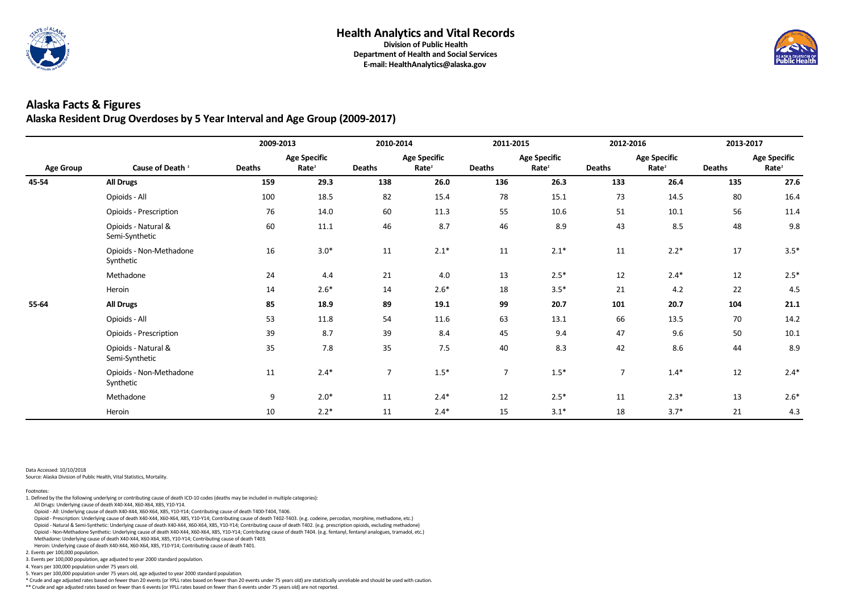

**Department of Health and Social Services E-mail: HealthAnalytics@alaska.gov**

### **Alaska Facts & Figures Alaska Resident Drug Overdoses by 5 Year Interval and Age Group (2009-2017)**

|                  |                                       | 2009-2013     |                                          | 2010-2014      |                                          | 2011-2015      |                                          | 2012-2016      |                                          | 2013-2017     |                                          |
|------------------|---------------------------------------|---------------|------------------------------------------|----------------|------------------------------------------|----------------|------------------------------------------|----------------|------------------------------------------|---------------|------------------------------------------|
| <b>Age Group</b> | Cause of Death <sup>1</sup>           | <b>Deaths</b> | <b>Age Specific</b><br>Rate <sup>2</sup> | <b>Deaths</b>  | <b>Age Specific</b><br>Rate <sup>2</sup> | <b>Deaths</b>  | <b>Age Specific</b><br>Rate <sup>2</sup> | <b>Deaths</b>  | <b>Age Specific</b><br>Rate <sup>2</sup> | <b>Deaths</b> | <b>Age Specific</b><br>Rate <sup>2</sup> |
| 45-54            | <b>All Drugs</b>                      | 159           | 29.3                                     | 138            | 26.0                                     | 136            | 26.3                                     | 133            | 26.4                                     | 135           | 27.6                                     |
|                  | Opioids - All                         | 100           | 18.5                                     | 82             | 15.4                                     | 78             | 15.1                                     | 73             | 14.5                                     | 80            | 16.4                                     |
|                  | Opioids - Prescription                | 76            | 14.0                                     | 60             | 11.3                                     | 55             | 10.6                                     | 51             | 10.1                                     | 56            | 11.4                                     |
|                  | Opioids - Natural &<br>Semi-Synthetic | 60            | 11.1                                     | 46             | 8.7                                      | 46             | 8.9                                      | 43             | 8.5                                      | 48            | 9.8                                      |
|                  | Opioids - Non-Methadone<br>Synthetic  | 16            | $3.0*$                                   | 11             | $2.1*$                                   | 11             | $2.1*$                                   | 11             | $2.2*$                                   | 17            | $3.5*$                                   |
|                  | Methadone                             | 24            | 4.4                                      | 21             | 4.0                                      | 13             | $2.5*$                                   | 12             | $2.4*$                                   | 12            | $2.5*$                                   |
|                  | Heroin                                | 14            | $2.6*$                                   | 14             | $2.6*$                                   | 18             | $3.5*$                                   | 21             | 4.2                                      | 22            | 4.5                                      |
| 55-64            | <b>All Drugs</b>                      | 85            | 18.9                                     | 89             | 19.1                                     | 99             | 20.7                                     | 101            | 20.7                                     | 104           | 21.1                                     |
|                  | Opioids - All                         | 53            | 11.8                                     | 54             | 11.6                                     | 63             | 13.1                                     | 66             | 13.5                                     | $70\,$        | 14.2                                     |
|                  | <b>Opioids - Prescription</b>         | 39            | 8.7                                      | 39             | 8.4                                      | 45             | 9.4                                      | 47             | 9.6                                      | 50            | 10.1                                     |
|                  | Opioids - Natural &<br>Semi-Synthetic | 35            | 7.8                                      | 35             | 7.5                                      | 40             | 8.3                                      | 42             | 8.6                                      | 44            | 8.9                                      |
|                  | Opioids - Non-Methadone<br>Synthetic  | 11            | $2.4*$                                   | $\overline{7}$ | $1.5*$                                   | $\overline{7}$ | $1.5*$                                   | $\overline{7}$ | $1.4*$                                   | 12            | $2.4*$                                   |
|                  | Methadone                             | 9             | $2.0*$                                   | 11             | $2.4*$                                   | 12             | $2.5*$                                   | 11             | $2.3*$                                   | 13            | $2.6*$                                   |
|                  | Heroin                                | 10            | $2.2*$                                   | 11             | $2.4*$                                   | 15             | $3.1*$                                   | 18             | $3.7*$                                   | 21            | 4.3                                      |

Data Accessed: 10/10/2018

Source: Alaska Division of Public Health, Vital Statistics, Mortality.

\*\* Crude and age adjusted rates based on fewer than 6 events (or YPLL rates based on fewer than 6 events under 75 years old) are not reported.



5. Years per 100,000 population under 75 years old, age adjusted to year 2000 standard population.

\* Crude and age adjusted rates based on fewer than 20 events (or YPLL rates based on fewer than 20 events under 75 years old) are statistically unreliable and should be used with caution.

3. Events per 100,000 population, age adjusted to year 2000 standard population.

4. Years per 100,000 population under 75 years old.

2. Events per 100,000 population.

 Heroin: Underlying cause of death X40-X44, X60-X64, X85, Y10-Y14; Contributing cause of death T401. Methadone: Underlying cause of death X40-X44, X60-X64, X85, Y10-Y14; Contributing cause of death T403.

Opioid - Non-Methadone Synthetic: Underlying cause of death X40-X44, X60-X64, X85, Y10-Y14; Contributing cause of death T404. (e.g. fentanyl, fentanyl analogues, tramadol, etc.)

Opioid - Prescription: Underlying cause of death X40-X44, X60-X64, X85, Y10-Y14; Contributing cause of death T402-T403. (e.g. codeine, percodan, morphine, methadone, etc.)

Opioid - Natural & Semi-Synthetic: Underlying cause of death X40-X44, X60-X64, X85, Y10-Y14; Contributing cause of death T402. (e.g. prescription opioids, excluding methadone)

All Drugs: Underlying cause of death X40-X44, X60-X64, X85, Y10-Y14.

Opioid - All: Underlying cause of death X40-X44, X60-X64, X85, Y10-Y14; Contributing cause of death T400-T404, T406.

Footnotes: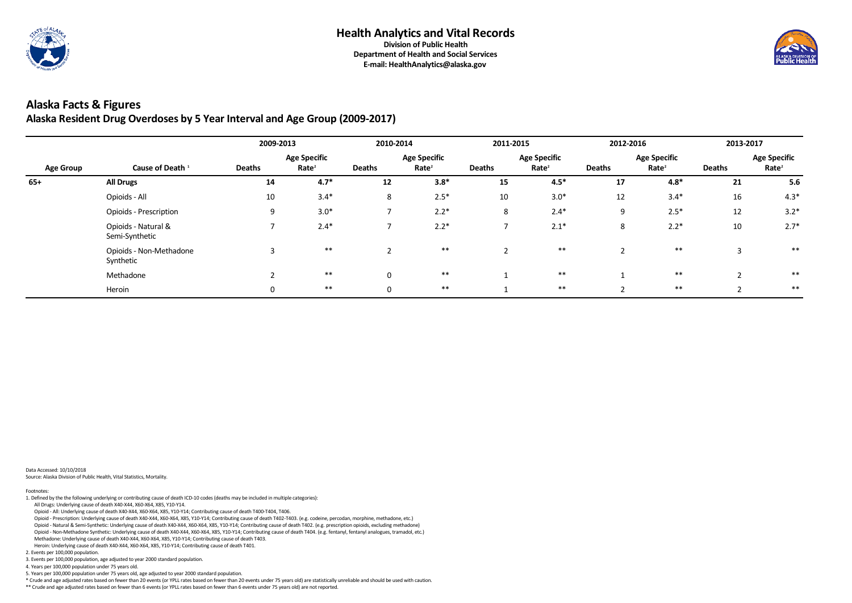

**E-mail: HealthAnalytics@alaska.gov**

## **Alaska Facts & Figures Alaska Resident Drug Overdoses by 5 Year Interval and Age Group (2009-2017)**

|                  |                                       | 2009-2013     |                                          | 2010-2014     |                                          | 2011-2015      |                                          | 2012-2016     |                                          | 2013-2017         |                                          |
|------------------|---------------------------------------|---------------|------------------------------------------|---------------|------------------------------------------|----------------|------------------------------------------|---------------|------------------------------------------|-------------------|------------------------------------------|
| <b>Age Group</b> | Cause of Death <sup>1</sup>           | <b>Deaths</b> | <b>Age Specific</b><br>Rate <sup>2</sup> | <b>Deaths</b> | <b>Age Specific</b><br>Rate <sup>2</sup> | <b>Deaths</b>  | <b>Age Specific</b><br>Rate <sup>2</sup> | <b>Deaths</b> | <b>Age Specific</b><br>Rate <sup>2</sup> | <b>Deaths</b>     | <b>Age Specific</b><br>Rate <sup>2</sup> |
| $65+$            | <b>All Drugs</b>                      | 14            | $4.7*$                                   | 12            | $3.8*$                                   | 15             | $4.5*$                                   | 17            | $4.8*$                                   | 21                | 5.6                                      |
|                  | Opioids - All                         | 10            | $3.4*$                                   | 8             | $2.5*$                                   | 10             | $3.0*$                                   | 12            | $3.4*$                                   | 16                | $4.3*$                                   |
|                  | <b>Opioids - Prescription</b>         | 9             | $3.0*$                                   |               | $2.2*$                                   | 8              | $2.4*$                                   | 9             | $2.5*$                                   | 12                | $3.2*$                                   |
|                  | Opioids - Natural &<br>Semi-Synthetic |               | $2.4*$                                   |               | $2.2*$                                   |                | $2.1*$                                   | 8             | $2.2*$                                   | 10                | $2.7*$                                   |
|                  | Opioids - Non-Methadone<br>Synthetic  |               | $***$                                    | $\sim$        | $***$                                    | $\overline{2}$ | $***$                                    | ി<br>∠        | $***$                                    | $\overline{3}$    | $***$                                    |
|                  | Methadone                             |               | $***$                                    | $\mathbf 0$   | $***$                                    | -1             | $***$                                    |               | $***$                                    | $\mathbf{\Gamma}$ | $***$                                    |
|                  | Heroin                                | 0             | $***$                                    | $\mathbf 0$   | $***$                                    |                | $***$                                    | ി             | $***$                                    |                   | $***$                                    |

Data Accessed: 10/10/2018 Source: Alaska Division of Public Health, Vital Statistics, Mortality.

\*\* Crude and age adjusted rates based on fewer than 6 events (or YPLL rates based on fewer than 6 events under 75 years old) are not reported.



5. Years per 100,000 population under 75 years old, age adjusted to year 2000 standard population.

\* Crude and age adjusted rates based on fewer than 20 events (or YPLL rates based on fewer than 20 events under 75 years old) are statistically unreliable and should be used with caution.

3. Events per 100,000 population, age adjusted to year 2000 standard population.

4. Years per 100,000 population under 75 years old.

Heroin: Underlying cause of death X40-X44, X60-X64, X85, Y10-Y14; Contributing cause of death T401.

2. Events per 100,000 population.

 Opioid - Non-Methadone Synthetic: Underlying cause of death X40-X44, X60-X64, X85, Y10-Y14; Contributing cause of death T404. (e.g. fentanyl, fentanyl analogues, tramadol, etc.) Methadone: Underlying cause of death X40-X44, X60-X64, X85, Y10-Y14; Contributing cause of death T403.

Opioid - Prescription: Underlying cause of death X40-X44, X60-X64, X85, Y10-Y14; Contributing cause of death T402-T403. (e.g. codeine, percodan, morphine, methadone, etc.)

Opioid - Natural & Semi-Synthetic: Underlying cause of death X40-X44, X60-X64, X85, Y10-Y14; Contributing cause of death T402. (e.g. prescription opioids, excluding methadone)

All Drugs: Underlying cause of death X40-X44, X60-X64, X85, Y10-Y14.

Opioid - All: Underlying cause of death X40-X44, X60-X64, X85, Y10-Y14; Contributing cause of death T400-T404, T406.

Footnotes: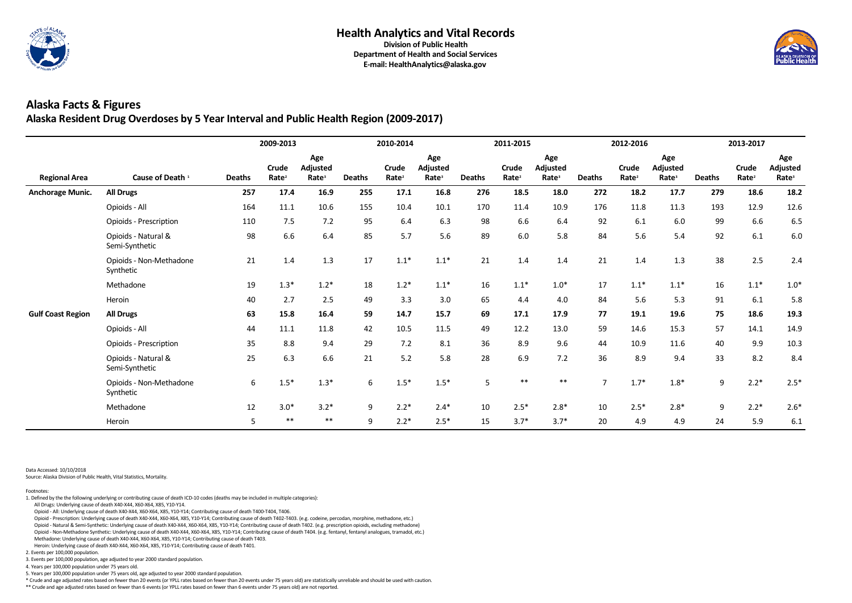

### **Alaska Facts & Figures Alaska Resident Drug Overdoses by 5 Year Interval and Public Health Region (2009-2017)**

|                          |                                       | 2009-2013     |                            |                                             |               |                            | 2010-2014                                   |               | 2011-2015                  |                                      |                | 2012-2016                  |                                             | 2013-2017     |                            |                                      |
|--------------------------|---------------------------------------|---------------|----------------------------|---------------------------------------------|---------------|----------------------------|---------------------------------------------|---------------|----------------------------|--------------------------------------|----------------|----------------------------|---------------------------------------------|---------------|----------------------------|--------------------------------------|
| <b>Regional Area</b>     | Cause of Death <sup>1</sup>           | <b>Deaths</b> | Crude<br>Rate <sup>2</sup> | Age<br><b>Adjusted</b><br>Rate <sup>3</sup> | <b>Deaths</b> | Crude<br>Rate <sup>2</sup> | Age<br><b>Adjusted</b><br>Rate <sup>3</sup> | <b>Deaths</b> | Crude<br>Rate <sup>2</sup> | Age<br>Adjusted<br>Rate <sup>3</sup> | <b>Deaths</b>  | Crude<br>Rate <sup>2</sup> | Age<br><b>Adjusted</b><br>Rate <sup>3</sup> | <b>Deaths</b> | Crude<br>Rate <sup>2</sup> | Age<br>Adjusted<br>Rate <sup>3</sup> |
| <b>Anchorage Munic.</b>  | <b>All Drugs</b>                      | 257           | 17.4                       | 16.9                                        | 255           | 17.1                       | 16.8                                        | 276           | 18.5                       | 18.0                                 | 272            | 18.2                       | 17.7                                        | 279           | 18.6                       | 18.2                                 |
|                          | Opioids - All                         | 164           | 11.1                       | 10.6                                        | 155           | 10.4                       | 10.1                                        | 170           | 11.4                       | 10.9                                 | 176            | 11.8                       | 11.3                                        | 193           | 12.9                       | 12.6                                 |
|                          | <b>Opioids - Prescription</b>         | 110           | 7.5                        | 7.2                                         | 95            | 6.4                        | 6.3                                         | 98            | 6.6                        | 6.4                                  | 92             | 6.1                        | 6.0                                         | 99            | 6.6                        | 6.5                                  |
|                          | Opioids - Natural &<br>Semi-Synthetic | 98            | 6.6                        | 6.4                                         | 85            | 5.7                        | 5.6                                         | 89            | 6.0                        | 5.8                                  | 84             | 5.6                        | 5.4                                         | 92            | 6.1                        | 6.0                                  |
|                          | Opioids - Non-Methadone<br>Synthetic  | 21            | 1.4                        | 1.3                                         | 17            | $1.1*$                     | $1.1*$                                      | 21            | 1.4                        | 1.4                                  | 21             | 1.4                        | 1.3                                         | 38            | 2.5                        | 2.4                                  |
|                          | Methadone                             | 19            | $1.3*$                     | $1.2*$                                      | 18            | $1.2*$                     | $1.1*$                                      | 16            | $1.1*$                     | $1.0*$                               | 17             | $1.1*$                     | $1.1*$                                      | 16            | $1.1*$                     | $1.0*$                               |
|                          | Heroin                                | 40            | 2.7                        | 2.5                                         | 49            | 3.3                        | 3.0                                         | 65            | 4.4                        | 4.0                                  | 84             | 5.6                        | 5.3                                         | 91            | 6.1                        | 5.8                                  |
| <b>Gulf Coast Region</b> | <b>All Drugs</b>                      | 63            | 15.8                       | 16.4                                        | 59            | 14.7                       | 15.7                                        | 69            | 17.1                       | 17.9                                 | 77             | 19.1                       | 19.6                                        | 75            | 18.6                       | 19.3                                 |
|                          | Opioids - All                         | 44            | 11.1                       | 11.8                                        | 42            | 10.5                       | 11.5                                        | 49            | 12.2                       | 13.0                                 | 59             | 14.6                       | 15.3                                        | 57            | 14.1                       | 14.9                                 |
|                          | <b>Opioids - Prescription</b>         | 35            | 8.8                        | 9.4                                         | 29            | 7.2                        | 8.1                                         | 36            | 8.9                        | 9.6                                  | 44             | 10.9                       | 11.6                                        | 40            | 9.9                        | 10.3                                 |
|                          | Opioids - Natural &<br>Semi-Synthetic | 25            | 6.3                        | 6.6                                         | 21            | 5.2                        | 5.8                                         | 28            | 6.9                        | 7.2                                  | 36             | 8.9                        | 9.4                                         | 33            | 8.2                        | 8.4                                  |
|                          | Opioids - Non-Methadone<br>Synthetic  | 6             | $1.5*$                     | $1.3*$                                      | 6             | $1.5*$                     | $1.5*$                                      | 5             | $***$                      | $***$                                | $\overline{7}$ | $1.7*$                     | $1.8*$                                      | 9             | $2.2*$                     | $2.5*$                               |
|                          | Methadone                             | 12            | $3.0*$                     | $3.2*$                                      | 9             | $2.2*$                     | $2.4*$                                      | 10            | $2.5*$                     | $2.8*$                               | 10             | $2.5*$                     | $2.8*$                                      | 9             | $2.2*$                     | $2.6*$                               |
|                          | Heroin                                | 5             | $***$                      | $***$                                       | 9             | $2.2*$                     | $2.5*$                                      | 15            | $3.7*$                     | $3.7*$                               | 20             | 4.9                        | 4.9                                         | 24            | 5.9                        | 6.1                                  |

Data Accessed: 10/10/2018

Source: Alaska Division of Public Health, Vital Statistics, Mortality.

\*\* Crude and age adjusted rates based on fewer than 6 events (or YPLL rates based on fewer than 6 events under 75 years old) are not reported.



5. Years per 100,000 population under 75 years old, age adjusted to year 2000 standard population.

\* Crude and age adjusted rates based on fewer than 20 events (or YPLL rates based on fewer than 20 events under 75 years old) are statistically unreliable and should be used with caution.

3. Events per 100,000 population, age adjusted to year 2000 standard population.

4. Years per 100,000 population under 75 years old.

Heroin: Underlying cause of death X40-X44, X60-X64, X85, Y10-Y14; Contributing cause of death T401.

2. Events per 100,000 population.

Opioid - Non-Methadone Synthetic: Underlying cause of death X40-X44, X60-X64, X85, Y10-Y14; Contributing cause of death T404. (e.g. fentanyl, fentanyl analogues, tramadol, etc.)

Methadone: Underlying cause of death X40-X44, X60-X64, X85, Y10-Y14; Contributing cause of death T403.

Opioid - Prescription: Underlying cause of death X40-X44, X60-X64, X85, Y10-Y14; Contributing cause of death T402-T403. (e.g. codeine, percodan, morphine, methadone, etc.)

Opioid - Natural & Semi-Synthetic: Underlying cause of death X40-X44, X60-X64, X85, Y10-Y14; Contributing cause of death T402. (e.g. prescription opioids, excluding methadone)

All Drugs: Underlying cause of death X40-X44, X60-X64, X85, Y10-Y14.

Opioid - All: Underlying cause of death X40-X44, X60-X64, X85, Y10-Y14; Contributing cause of death T400-T404, T406.

Footnotes: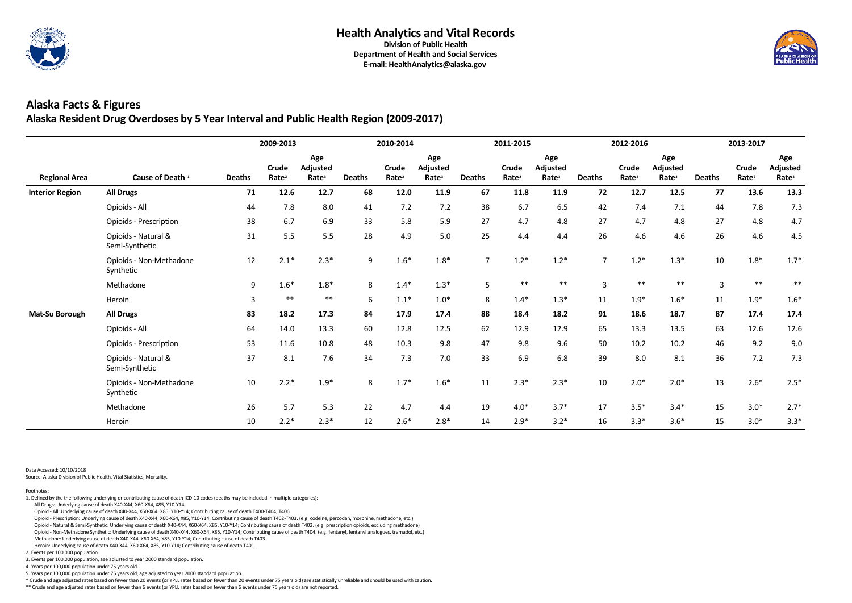

### **Alaska Facts & Figures Alaska Resident Drug Overdoses by 5 Year Interval and Public Health Region (2009-2017)**

|                        |                                       | 2009-2013     |                                   |                                             | 2010-2014     |                                   |                                             |                | 2011-2015                  |                                             |                | 2012-2016                  |                                      | 2013-2017     |                            |                                      |
|------------------------|---------------------------------------|---------------|-----------------------------------|---------------------------------------------|---------------|-----------------------------------|---------------------------------------------|----------------|----------------------------|---------------------------------------------|----------------|----------------------------|--------------------------------------|---------------|----------------------------|--------------------------------------|
| <b>Regional Area</b>   | Cause of Death <sup>1</sup>           | <b>Deaths</b> | <b>Crude</b><br>Rate <sup>2</sup> | Age<br><b>Adjusted</b><br>Rate <sup>3</sup> | <b>Deaths</b> | <b>Crude</b><br>Rate <sup>2</sup> | Age<br><b>Adjusted</b><br>Rate <sup>3</sup> | <b>Deaths</b>  | Crude<br>Rate <sup>2</sup> | Age<br><b>Adjusted</b><br>Rate <sup>3</sup> | <b>Deaths</b>  | Crude<br>Rate <sup>2</sup> | Age<br>Adjusted<br>Rate <sup>3</sup> | <b>Deaths</b> | Crude<br>Rate <sup>2</sup> | Age<br>Adjusted<br>Rate <sup>3</sup> |
| <b>Interior Region</b> | <b>All Drugs</b>                      | 71            | 12.6                              | 12.7                                        | 68            | 12.0                              | 11.9                                        | 67             | 11.8                       | 11.9                                        | 72             | 12.7                       | 12.5                                 | 77            | 13.6                       | 13.3                                 |
|                        | Opioids - All                         | 44            | 7.8                               | 8.0                                         | 41            | 7.2                               | 7.2                                         | 38             | 6.7                        | 6.5                                         | 42             | 7.4                        | 7.1                                  | 44            | 7.8                        | 7.3                                  |
|                        | <b>Opioids - Prescription</b>         | 38            | 6.7                               | 6.9                                         | 33            | 5.8                               | 5.9                                         | 27             | 4.7                        | 4.8                                         | 27             | 4.7                        | 4.8                                  | 27            | 4.8                        | 4.7                                  |
|                        | Opioids - Natural &<br>Semi-Synthetic | 31            | 5.5                               | 5.5                                         | 28            | 4.9                               | 5.0                                         | 25             | 4.4                        | 4.4                                         | 26             | 4.6                        | 4.6                                  | 26            | 4.6                        | 4.5                                  |
|                        | Opioids - Non-Methadone<br>Synthetic  | 12            | $2.1*$                            | $2.3*$                                      | 9             | $1.6*$                            | $1.8*$                                      | $\overline{7}$ | $1.2*$                     | $1.2*$                                      | $\overline{7}$ | $1.2*$                     | $1.3*$                               | 10            | $1.8*$                     | $1.7*$                               |
|                        | Methadone                             | 9             | $1.6*$                            | $1.8*$                                      | 8             | $1.4*$                            | $1.3*$                                      | $5\phantom{.}$ | $***$                      | $***$                                       | 3              | $***$                      | $***$                                | 3             | $***$                      | $**$                                 |
|                        | Heroin                                | 3             | $***$                             | $***$                                       | 6             | $1.1*$                            | $1.0*$                                      | 8              | $1.4*$                     | $1.3*$                                      | 11             | $1.9*$                     | $1.6*$                               | 11            | $1.9*$                     | $1.6*$                               |
| Mat-Su Borough         | <b>All Drugs</b>                      | 83            | 18.2                              | 17.3                                        | 84            | 17.9                              | 17.4                                        | 88             | 18.4                       | 18.2                                        | 91             | 18.6                       | 18.7                                 | 87            | 17.4                       | 17.4                                 |
|                        | Opioids - All                         | 64            | 14.0                              | 13.3                                        | 60            | 12.8                              | 12.5                                        | 62             | 12.9                       | 12.9                                        | 65             | 13.3                       | 13.5                                 | 63            | 12.6                       | 12.6                                 |
|                        | Opioids - Prescription                | 53            | 11.6                              | 10.8                                        | 48            | 10.3                              | 9.8                                         | 47             | 9.8                        | 9.6                                         | 50             | 10.2                       | 10.2                                 | 46            | 9.2                        | 9.0                                  |
|                        | Opioids - Natural &<br>Semi-Synthetic | 37            | 8.1                               | 7.6                                         | 34            | 7.3                               | 7.0                                         | 33             | 6.9                        | 6.8                                         | 39             | 8.0                        | 8.1                                  | 36            | 7.2                        | 7.3                                  |
|                        | Opioids - Non-Methadone<br>Synthetic  | 10            | $2.2*$                            | $1.9*$                                      | 8             | $1.7*$                            | $1.6*$                                      | $11\,$         | $2.3*$                     | $2.3*$                                      | 10             | $2.0*$                     | $2.0*$                               | 13            | $2.6*$                     | $2.5*$                               |
|                        | Methadone                             | 26            | 5.7                               | 5.3                                         | 22            | 4.7                               | 4.4                                         | 19             | $4.0*$                     | $3.7*$                                      | 17             | $3.5*$                     | $3.4*$                               | 15            | $3.0*$                     | $2.7*$                               |
|                        | Heroin                                | 10            | $2.2*$                            | $2.3*$                                      | 12            | $2.6*$                            | $2.8*$                                      | 14             | $2.9*$                     | $3.2*$                                      | 16             | $3.3*$                     | $3.6*$                               | 15            | $3.0*$                     | $3.3*$                               |

Data Accessed: 10/10/2018

Source: Alaska Division of Public Health, Vital Statistics, Mortality.

\*\* Crude and age adjusted rates based on fewer than 6 events (or YPLL rates based on fewer than 6 events under 75 years old) are not reported.



5. Years per 100,000 population under 75 years old, age adjusted to year 2000 standard population.

\* Crude and age adjusted rates based on fewer than 20 events (or YPLL rates based on fewer than 20 events under 75 years old) are statistically unreliable and should be used with caution.

3. Events per 100,000 population, age adjusted to year 2000 standard population.

4. Years per 100,000 population under 75 years old.

2. Events per 100,000 population.

 Heroin: Underlying cause of death X40-X44, X60-X64, X85, Y10-Y14; Contributing cause of death T401. Methadone: Underlying cause of death X40-X44, X60-X64, X85, Y10-Y14; Contributing cause of death T403.

Opioid - Non-Methadone Synthetic: Underlying cause of death X40-X44, X60-X64, X85, Y10-Y14; Contributing cause of death T404. (e.g. fentanyl, fentanyl analogues, tramadol, etc.)

Opioid - Prescription: Underlying cause of death X40-X44, X60-X64, X85, Y10-Y14; Contributing cause of death T402-T403. (e.g. codeine, percodan, morphine, methadone, etc.)

Opioid - Natural & Semi-Synthetic: Underlying cause of death X40-X44, X60-X64, X85, Y10-Y14; Contributing cause of death T402. (e.g. prescription opioids, excluding methadone)

All Drugs: Underlying cause of death X40-X44, X60-X64, X85, Y10-Y14.

Opioid - All: Underlying cause of death X40-X44, X60-X64, X85, Y10-Y14; Contributing cause of death T400-T404, T406.

Footnotes: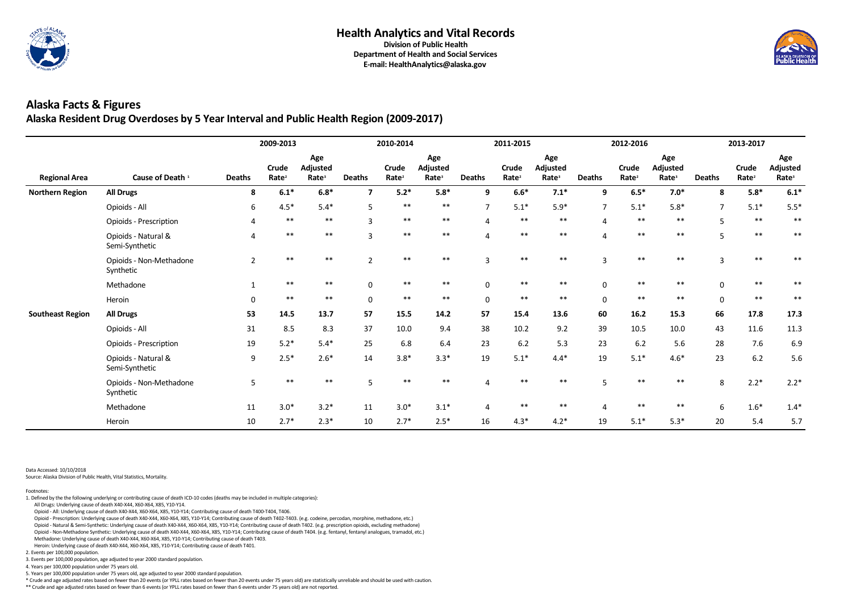

**E-mail: HealthAnalytics@alaska.gov**

## **Alaska Facts & Figures Alaska Resident Drug Overdoses by 5 Year Interval and Public Health Region (2009-2017)**

|                         |                                       | 2009-2013      |                            |                                      | 2010-2014     |                            |                                             |                | 2011-2015                  |                                      |                       | 2012-2016                  |                                      | 2013-2017      |                            |                                      |
|-------------------------|---------------------------------------|----------------|----------------------------|--------------------------------------|---------------|----------------------------|---------------------------------------------|----------------|----------------------------|--------------------------------------|-----------------------|----------------------------|--------------------------------------|----------------|----------------------------|--------------------------------------|
| <b>Regional Area</b>    | Cause of Death <sup>1</sup>           | <b>Deaths</b>  | Crude<br>Rate <sup>2</sup> | Age<br>Adjusted<br>Rate <sup>3</sup> | <b>Deaths</b> | Crude<br>Rate <sup>2</sup> | Age<br><b>Adjusted</b><br>Rate <sup>3</sup> | <b>Deaths</b>  | Crude<br>Rate <sup>2</sup> | Age<br>Adjusted<br>Rate <sup>3</sup> | <b>Deaths</b>         | Crude<br>Rate <sup>2</sup> | Age<br>Adjusted<br>Rate <sup>3</sup> | <b>Deaths</b>  | Crude<br>Rate <sup>2</sup> | Age<br>Adjusted<br>Rate <sup>3</sup> |
| <b>Northern Region</b>  | <b>All Drugs</b>                      | 8              | $6.1*$                     | $6.8*$                               | 7             | $5.2*$                     | $5.8*$                                      | 9              | $6.6*$                     | $7.1*$                               | 9                     | $6.5*$                     | $7.0*$                               | 8              | $5.8*$                     | $6.1*$                               |
|                         | Opioids - All                         | 6              | $4.5*$                     | $5.4*$                               | 5             | $***$                      | $***$                                       | $\overline{7}$ | $5.1*$                     | $5.9*$                               | $\overline{7}$        | $5.1*$                     | $5.8*$                               | $\overline{7}$ | $5.1*$                     | $5.5*$                               |
|                         | <b>Opioids - Prescription</b>         |                | $***$                      | $***$                                |               | $***$                      | $***$                                       |                | $***$                      | $***$                                |                       | $***$                      | $***$                                |                | $***$                      | $***$                                |
|                         | Opioids - Natural &<br>Semi-Synthetic | 4              | $***$                      | $***$                                | $\mathbf{3}$  | $***$                      | $***$                                       | $\Delta$       | $***$                      | $***$                                | $\overline{4}$        | $***$                      | $***$                                |                | $***$                      | $***$                                |
|                         | Opioids - Non-Methadone<br>Synthetic  | $\overline{2}$ | $***$                      | $***$                                |               | $**$                       | $***$                                       | $\overline{3}$ | $***$                      | $***$                                | 3                     | $**$                       | $**$                                 |                | $***$                      |                                      |
|                         | Methadone                             |                | $***$                      | $***$                                | $\Omega$      | $***$                      | $***$                                       | $\mathbf 0$    | $***$                      | **                                   | $\Omega$              |                            | $***$                                |                | $***$                      |                                      |
|                         | Heroin                                | $\Omega$       | $***$                      | $***$                                | $\mathbf 0$   | $***$                      | $***$                                       | $\pmb{0}$      | $***$                      | $***$                                | $\mathbf 0$           | $***$                      | $***$                                | $\Omega$       | $***$                      | $***$                                |
| <b>Southeast Region</b> | <b>All Drugs</b>                      | 53             | 14.5                       | 13.7                                 | 57            | 15.5                       | 14.2                                        | 57             | 15.4                       | 13.6                                 | 60                    | 16.2                       | 15.3                                 | 66             | 17.8                       | 17.3                                 |
|                         | Opioids - All                         | 31             | 8.5                        | 8.3                                  | 37            | 10.0                       | 9.4                                         | 38             | 10.2                       | 9.2                                  | 39                    | 10.5                       | 10.0                                 | 43             | 11.6                       | 11.3                                 |
|                         | <b>Opioids - Prescription</b>         | 19             | $5.2*$                     | $5.4*$                               | 25            | 6.8                        | 6.4                                         | 23             | 6.2                        | 5.3                                  | 23                    | 6.2                        | 5.6                                  | 28             | 7.6                        | 6.9                                  |
|                         | Opioids - Natural &<br>Semi-Synthetic | 9              | $2.5*$                     | $2.6*$                               | 14            | $3.8*$                     | $3.3*$                                      | 19             | $5.1*$                     | $4.4*$                               | 19                    | $5.1*$                     | $4.6*$                               | 23             | 6.2                        | 5.6                                  |
|                         | Opioids - Non-Methadone<br>Synthetic  | 5              | $***$                      | $***$                                |               | $***$                      | $***$                                       |                | $***$                      | **                                   | 5                     | $***$                      | $***$                                | 8              | $2.2*$                     | $2.2*$                               |
|                         | Methadone                             | 11             | $3.0*$                     | $3.2*$                               | 11            | $3.0*$                     | $3.1*$                                      | $\overline{4}$ | $***$                      | $***$                                | $\boldsymbol{\Delta}$ |                            | $***$                                |                | $1.6*$                     | $1.4*$                               |
|                         | Heroin                                | 10             | $2.7*$                     | $2.3*$                               | 10            | $2.7*$                     | $2.5*$                                      | 16             | $4.3*$                     | $4.2*$                               | 19                    | $5.1*$                     | $5.3*$                               | 20             | 5.4                        | 5.7                                  |

Data Accessed: 10/10/2018

Source: Alaska Division of Public Health, Vital Statistics, Mortality.

\*\* Crude and age adjusted rates based on fewer than 6 events (or YPLL rates based on fewer than 6 events under 75 years old) are not reported.



5. Years per 100,000 population under 75 years old, age adjusted to year 2000 standard population.

\* Crude and age adjusted rates based on fewer than 20 events (or YPLL rates based on fewer than 20 events under 75 years old) are statistically unreliable and should be used with caution.

3. Events per 100,000 population, age adjusted to year 2000 standard population.

4. Years per 100,000 population under 75 years old.

2. Events per 100,000 population.

 Heroin: Underlying cause of death X40-X44, X60-X64, X85, Y10-Y14; Contributing cause of death T401. Methadone: Underlying cause of death X40-X44, X60-X64, X85, Y10-Y14; Contributing cause of death T403.

Opioid - Non-Methadone Synthetic: Underlying cause of death X40-X44, X60-X64, X85, Y10-Y14; Contributing cause of death T404. (e.g. fentanyl, fentanyl analogues, tramadol, etc.)

Opioid - Prescription: Underlying cause of death X40-X44, X60-X64, X85, Y10-Y14; Contributing cause of death T402-T403. (e.g. codeine, percodan, morphine, methadone, etc.)

Opioid - Natural & Semi-Synthetic: Underlying cause of death X40-X44, X60-X64, X85, Y10-Y14; Contributing cause of death T402. (e.g. prescription opioids, excluding methadone)

All Drugs: Underlying cause of death X40-X44, X60-X64, X85, Y10-Y14.

Opioid - All: Underlying cause of death X40-X44, X60-X64, X85, Y10-Y14; Contributing cause of death T400-T404, T406.

Footnotes: